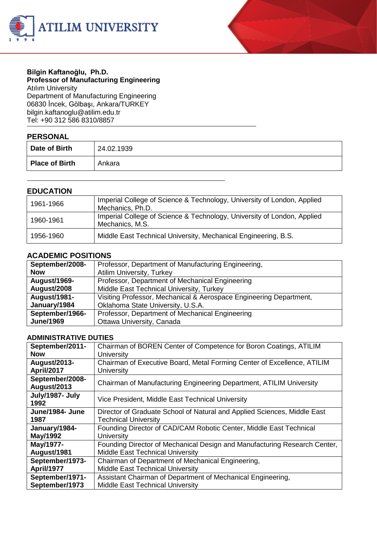



#### **Bilgin Kaftanoğlu, Ph.D. Professor of Manufacturing Engineering** Atılım University

Department of Manufacturing Engineering 06830 İncek, Gölbaşı, Ankara/TURKEY bilgin.kaftanogl[u@atilim.edu.tr](mailto:ulug@bilkent.edu.tr) Tel: +90 312 586 8310/8857

### **PERSONAL**

| .                     |            |
|-----------------------|------------|
| Date of Birth         | 24.02.1939 |
| <b>Place of Birth</b> | Ankara     |

### **EDUCATION**

| 1961-1966 | Imperial College of Science & Technology, University of London, Applied<br>Mechanics, Ph.D. |
|-----------|---------------------------------------------------------------------------------------------|
| 1960-1961 | Imperial College of Science & Technology, University of London, Applied<br>Mechanics, M.S.  |
| 1956-1960 | Middle East Technical University, Mechanical Engineering, B.S.                              |

### **ACADEMIC POSITIONS**

| September/2008-     | Professor, Department of Manufacturing Engineering,                |
|---------------------|--------------------------------------------------------------------|
| <b>Now</b>          | <b>Atilim University, Turkey</b>                                   |
| August/1969-        | Professor, Department of Mechanical Engineering                    |
| August/2008         | Middle East Technical University, Turkey                           |
| <b>August/1981-</b> | Visiting Professor, Mechanical & Aerospace Engineering Department, |
| January/1984        | Oklahoma State University, U.S.A.                                  |
| September/1966-     | Professor, Department of Mechanical Engineering                    |
| <b>June/1969</b>    | Ottawa University, Canada                                          |

### **ADMINISTRATIVE DUTIES**

| September/2011-                | Chairman of BOREN Center of Competence for Boron Coatings, ATILIM         |
|--------------------------------|---------------------------------------------------------------------------|
| <b>Now</b>                     | University                                                                |
| August/2013-                   | Chairman of Executive Board, Metal Forming Center of Excellence, ATILIM   |
| <b>April/2017</b>              | University                                                                |
| September/2008-<br>August/2013 | Chairman of Manufacturing Engineering Department, ATILIM University       |
|                                |                                                                           |
| July/1987- July<br>1992        | Vice President, Middle East Technical University                          |
| June/1984- June                | Director of Graduate School of Natural and Applied Sciences, Middle East  |
| 1987                           | <b>Technical University</b>                                               |
| January/1984-                  | Founding Director of CAD/CAM Robotic Center, Middle East Technical        |
| May/1992                       | University                                                                |
| May/1977-                      | Founding Director of Mechanical Design and Manufacturing Research Center, |
| August/1981                    | <b>Middle East Technical University</b>                                   |
| September/1973-                | Chairman of Department of Mechanical Engineering,                         |
| <b>April/1977</b>              | <b>Middle East Technical University</b>                                   |
| September/1971-                | Assistant Chairman of Department of Mechanical Engineering,               |
| September/1973                 | <b>Middle East Technical University</b>                                   |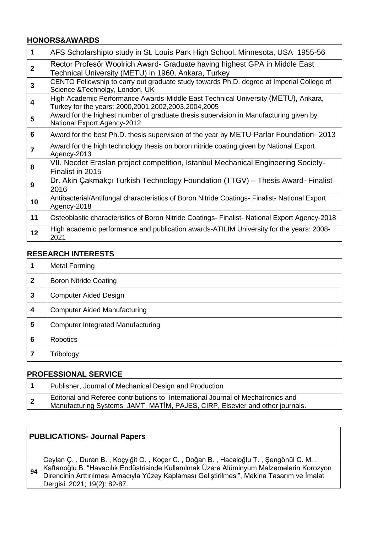### **HONORS&AWARDS**

| 1                       | AFS Scholarshipto study in St. Louis Park High School, Minnesota, USA 1955-56                                                            |
|-------------------------|------------------------------------------------------------------------------------------------------------------------------------------|
| $\overline{2}$          | Rector Profesör Woolrich Award- Graduate having highest GPA in Middle East<br>Technical University (METU) in 1960, Ankara, Turkey        |
| $\overline{\mathbf{3}}$ | CENTO Fellowship to carry out graduate study towards Ph.D. degree at Imperial College of<br>Science & Technolgy, London, UK              |
| 4                       | High Academic Performance Awards-Middle East Technical University (METU), Ankara,<br>Turkey for the years: 2000,2001,2002,2003,2004,2005 |
| 5                       | Award for the highest number of graduate thesis supervision in Manufacturing given by<br>National Export Agency-2012                     |
| 6                       | Award for the best Ph.D. thesis supervision of the year by METU-Parlar Foundation-2013                                                   |
| $\overline{7}$          | Award for the high technology thesis on boron nitride coating given by National Export<br>Agency-2013                                    |
| 8                       | VII. Necdet Eraslan project competition, Istanbul Mechanical Engineering Society-<br>Finalist in 2015                                    |
| 9                       | Dr. Akin Çakmakçı Turkish Technology Foundation (TTGV) – Thesis Award- Finalist<br>2016                                                  |
| 10                      | Antibacterial/Antifungal characteristics of Boron Nitride Coatings- Finalist- National Export<br>Agency-2018                             |
| 11                      | Osteoblastic characteristics of Boron Nitride Coatings- Finalist- National Export Agency-2018                                            |
| 12                      | High academic performance and publication awards-ATILIM University for the years: 2008-<br>2021                                          |

## **RESEARCH INTERESTS**

|             | <b>Metal Forming</b>                     |
|-------------|------------------------------------------|
| $\mathbf 2$ | <b>Boron Nitride Coating</b>             |
| 3           | <b>Computer Aided Design</b>             |
| 4           | <b>Computer Aided Manufacturing</b>      |
| 5           | <b>Computer Integrated Manufacturing</b> |
| 6           | <b>Robotics</b>                          |
|             | Tribology                                |

# **PROFESSIONAL SERVICE**

| Publisher, Journal of Mechanical Design and Production                                                                                                            |
|-------------------------------------------------------------------------------------------------------------------------------------------------------------------|
| Editorial and Referee contributions to International Journal of Mechatronics and<br>Manufacturing Systems, JAMT, MATİM, PAJES, CIRP, Elsevier and other journals. |

|                                                                                                                                                                                                                              | <b>PUBLICATIONS- Journal Papers</b>                                                 |
|------------------------------------------------------------------------------------------------------------------------------------------------------------------------------------------------------------------------------|-------------------------------------------------------------------------------------|
| Kaftanoğlu B. "Havacılık Endüstrisinde Kullanılmak Üzere Alüminyum Malzemelerin Korozyon<br>Direncinin Arttırılması Amacıyla Yüzey Kaplaması Geliştirilmesi", Makina Tasarım ve İmalat<br>94<br>Dergisi. 2021; 19(2): 82-87. | Ceylan Ç., Duran B., Koçyiğit O., Koçer C., Doğan B., Hacaloğlu T., Şengönül C. M., |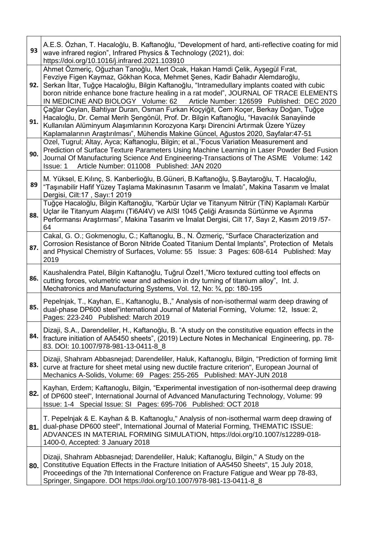| 93  | A.E.S. Özhan, T. Hacaloğlu, B. Kaftanoğlu, "Development of hard, anti-reflective coating for mid<br>wave infrared region", Infrared Physics & Technology (2021), doi:<br>https://doi.org/10.1016/j.infrared.2021.103910                                                                                                                                                                                                                |
|-----|----------------------------------------------------------------------------------------------------------------------------------------------------------------------------------------------------------------------------------------------------------------------------------------------------------------------------------------------------------------------------------------------------------------------------------------|
| 92. | Ahmet Özmeriç, Oğuzhan Tanoğlu, Mert Ocak, Hakan Hamdi Çelik, Ayşegül Fırat,<br>Fevziye Figen Kaymaz, Gökhan Koca, Mehmet Şenes, Kadir Bahadır Alemdaroğlu,<br>Serkan İltar, Tuğçe Hacaloğlu, Bilgin Kaftanoğlu, "Intramedullary implants coated with cubic<br>boron nitride enhance bone fracture healing in a rat model", JOURNAL OF TRACE ELEMENTS<br>IN MEDICINE AND BIOLOGY Volume: 62 Article Number: 126599 Published: DEC 2020 |
| 91. | Çağlar Ceylan, Bahtiyar Duran, Osman Furkan Koçyiğit, Cem Koçer, Berkay Doğan, Tuğçe<br>Hacaloğlu, Dr. Cemal Merih Şengönül, Prof. Dr. Bilgin Kaftanoğlu, "Havacılık Sanayiinde<br>Kullanılan Alüminyum Alaşımlarının Korozyona Karşı Direncini Artırmak Üzere Yüzey<br>Kaplamalarının Araştırılması", Mühendis Makine Güncel, Ağustos 2020, Sayfalar:47-51                                                                            |
| 90. | Ozel, Tugrul; Altay, Ayca; Kaftanoglu, Bilgin; et al.,"Focus Variation Measurement and<br>Prediction of Surface Texture Parameters Using Machine Learning in Laser Powder Bed Fusion<br>Journal Of Manufacturing Science And Engineering-Transactions of The ASME Volume: 142<br>Article Number: 011008 Published: JAN 2020<br>Issue: 1                                                                                                |
| 89  | M. Yüksel, E.Kılınç, S. Kanberlioğlu, B.Güneri, B.Kaftanoğlu, Ş.Baytaroğlu, T. Hacaloğlu,<br>"Taşınabilir Hafif Yüzey Taşlama Makinasının Tasarım ve İmalatı", Makina Tasarım ve İmalat<br>Dergisi, Cilt:17, Sayı:1 2019                                                                                                                                                                                                               |
| 88. | Tuğçe Hacaloğlu, Bilgin Kaftanoğlu, "Karbür Uçlar ve Titanyum Nitrür (TiN) Kaplamalı Karbür<br>Uçlar ile Titanyum Alaşımı (Ti6Al4V) ve AISI 1045 Çeliği Arasında Sürtünme ve Aşınma<br>Performansı Araştırması", Makina Tasarim ve İmalat Dergisi, Cilt 17, Sayı 2, Kasım 2019 /57-<br>64                                                                                                                                              |
| 87. | Cakal, G. O.; Gokmenoglu, C.; Kaftanoglu, B., N. Özmeriç, "Surface Characterization and<br>Corrosion Resistance of Boron Nitride Coated Titanium Dental Implants", Protection of Metals<br>and Physical Chemistry of Surfaces, Volume: 55 Issue: 3 Pages: 608-614 Published: May<br>2019                                                                                                                                               |
| 86. | Kaushalendra Patel, Bilgin Kaftanoğlu, Tuğrul Özel1, "Micro textured cutting tool effects on<br>cutting forces, volumetric wear and adhesion in dry turning of titanium alloy", Int. J.<br>Mechatronics and Manufacturing Systems, Vol. 12, No: 3/4, pp: 180-195                                                                                                                                                                       |
| 85. | Pepelnjak, T., Kayhan, E., Kaftanoglu, B.," Analysis of non-isothermal warm deep drawing of<br>dual-phase DP600 steel"international Journal of Material Forming, Volume: 12, Issue: 2,<br>Pages: 223-240 Published: March 2019                                                                                                                                                                                                         |
| 84. | Dizaji, S.A., Darendeliler, H., Kaftanoğlu, B. "A study on the constitutive equation effects in the<br>fracture initiation of AA5450 sheets", (2019) Lecture Notes in Mechanical Engineering, pp. 78-<br>83. DOI: 10.1007/978-981-13-0411-8_8                                                                                                                                                                                          |
| 83. | Dizaji, Shahram Abbasnejad; Darendeliler, Haluk, Kaftanoglu, Bilgin, "Prediction of forming limit<br>curve at fracture for sheet metal using new ductile fracture criterion", European Journal of<br>Mechanics A-Solids, Volume: 69 Pages: 255-265 Published: MAY-JUN 2018                                                                                                                                                             |
| 82. | Kayhan, Erdem; Kaftanoglu, Bilgin, "Experimental investigation of non-isothermal deep drawing<br>of DP600 steel", International Journal of Advanced Manufacturing Technology, Volume: 99<br>Issue: 1-4 Special Issue: SI Pages: 695-706 Published: OCT 2018                                                                                                                                                                            |
| 81. | T. Pepelnjak & E. Kayhan & B. Kaftanoglu," Analysis of non-isothermal warm deep drawing of<br>dual-phase DP600 steel", International Journal of Material Forming, THEMATIC ISSUE:<br>ADVANCES IN MATERIAL FORMING SIMULATION, https://doi.org/10.1007/s12289-018-<br>1400-0, Accepted: 3 January 2018                                                                                                                                  |
| 80. | Dizaji, Shahram Abbasnejad; Darendeliler, Haluk; Kaftanoglu, Bilgin," A Study on the<br>Constitutive Equation Effects in the Fracture Initiation of AA5450 Sheets", 15 July 2018,<br>Proceedings of the 7th International Conference on Fracture Fatigue and Wear pp 78-83,<br>Springer, Singapore. DOI https://doi.org/10.1007/978-981-13-0411-8_8                                                                                    |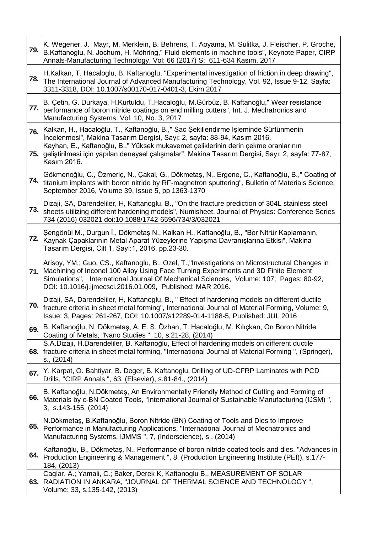| 79.   | K. Wegener, J. Mayr, M. Merklein, B. Behrens, T. Aoyama, M. Sulitka, J. Fleischer, P. Groche,<br>B.Kaftanoglu, N. Jochum, H. Möhring," Fluid elements in machine tools", Keynote Paper, CIRP<br>Annals-Manufacturing Technology, Vol: 66 (2017) S: 611-634 Kasım, 2017                                                                           |
|-------|--------------------------------------------------------------------------------------------------------------------------------------------------------------------------------------------------------------------------------------------------------------------------------------------------------------------------------------------------|
| 78.   | H.Kalkan, T. Hacaloglu, B. Kaftanoglu, "Experimental investigation of friction in deep drawing",<br>The International Journal of Advanced Manufacturing Technology, Vol. 92, Issue 9-12, Sayfa:<br>3311-3318, DOI: 10.1007/s00170-017-0401-3, Ekim 2017                                                                                          |
| 77. l | B. Çetin, G. Durkaya, H.Kurtuldu, T.Hacaloğlu, M.Gürbüz, B. Kaftanoğlu," Wear resistance<br>performance of boron nitride coatings on end milling cutters", Int. J. Mechatronics and<br>Manufacturing Systems, Vol. 10, No. 3, 2017                                                                                                               |
| 76.   | Kalkan, H., Hacaloğlu, T., Kaftanoğlu, B.," Sac Şekillendirme İşleminde Sürtünmenin<br>İncelenmesi", Makina Tasarım Dergisi, Sayı: 2, sayfa: 88-94, Kasım 2016.<br>Kayhan, E., Kaftanoğlu, B.," Yüksek mukavemet çeliklerinin derin çekme oranlarının                                                                                            |
| 75. l | geliştirilmesi için yapılan deneysel çalışmalar", Makina Tasarım Dergisi, Sayı: 2, sayfa: 77-87,<br>Kasım 2016.                                                                                                                                                                                                                                  |
| 74. l | Gökmenoğlu, C., Özmeriç, N., Çakal, G., Dökmetaş, N., Ergene, C., Kaftanoğlu, B.," Coating of<br>titanium implants with boron nitride by RF-magnetron sputtering", Bulletin of Materials Science,<br>September 2016, Volume 39, Issue 5, pp 1363-1370                                                                                            |
| 73.   | Dizaji, SA, Darendeliler, H, Kaftanoglu, B., "On the fracture prediction of 304L stainless steel<br>sheets utilizing different hardening models", Numisheet, Journal of Physics: Conference Series<br>734 (2016) 032021 doi:10.1088/1742-6596/734/3/032021                                                                                       |
| 72.   | Şengönül M., Durgun İ., Dökmetaş N., Kalkan H., Kaftanoğlu, B., "Bor Nitrür Kaplamanın,<br>Kaynak Çapaklarının Metal Aparat Yüzeylerine Yapışma Davranışlarına Etkisi", Makina<br>Tasarım Dergisi, Cilt 1, Sayı:1, 2016, pp.23-30.                                                                                                               |
|       | Arisoy, YM,; Guo, CS., Kaftanoglu, B., Ozel, T., "Investigations on Microstructural Changes in<br>71. Machining of Inconel 100 Alloy Using Face Turning Experiments and 3D Finite Element<br>Simulations", International Journal Of Mechanical Sciences, Volume: 107, Pages: 80-92,<br>DOI: 10.1016/j.ijmecsci.2016.01.009, Published: MAR 2016. |
|       | Dizaji, SA, Darendeliler, H, Kaftanoglu, B., " Effect of hardening models on different ductile<br>70.   fracture criteria in sheet metal forming", International Journal of Material Forming, Volume: 9,<br>Issue: 3, Pages: 261-267, DOI: 10.1007/s12289-014-1188-5, Published: JUL 2016                                                        |
| 69.   | B. Kaftanoğlu, N. Dökmetaş, A. E. S. Özhan, T. Hacaloğlu, M. Kılıçkan, On Boron Nitride<br>Coating of Metals, "Nano Studies ", 10, s.21-28, (2014)                                                                                                                                                                                               |
|       | S.A.Dizaji, H.Darendeliler, B. Kaftanoğlu, Effect of hardening models on different ductile<br>68. fracture criteria in sheet metal forming, "International Journal of Material Forming", (Springer),<br>s., (2014)                                                                                                                               |
| 67.   | Y. Karpat, O. Bahtiyar, B. Deger, B. Kaftanoglu, Drilling of UD-CFRP Laminates with PCD<br>Drills, "CIRP Annals ", 63, (Elsevier), s.81-84., (2014)                                                                                                                                                                                              |
| 66.1  | B. Kaftanoğlu, N.Dökmetaş, An Environmentally Friendly Method of Cutting and Forming of<br>Materials by c-BN Coated Tools, "International Journal of Sustainable Manufacturing (IJSM)",<br>3, s.143-155, (2014)                                                                                                                                  |
| 65.   | N.Dökmetaş, B.Kaftanoğlu, Boron Nitride (BN) Coating of Tools and Dies to Improve<br>Performance in Manufacturing Applications, "International Journal of Mechatronics and<br>Manufacturing Systems, IJMMS ", 7, (Inderscience), s., (2014)                                                                                                      |
| 64.   | Kaftanoğlu, B., Dökmetaş, N., Performance of boron nitride coated tools and dies, "Advances in<br>Production Engineering & Management ", 8, (Production Engineering Institute (PEI)), s.177-<br>184, (2013)                                                                                                                                      |
|       | Caglar, A.; Yamali, C.; Baker, Derek K, Kaftanoglu B., MEASUREMENT OF SOLAR<br>63. RADIATION IN ANKARA, "JOURNAL OF THERMAL SCIENCE AND TECHNOLOGY",<br>Volume: 33, s.135-142, (2013)                                                                                                                                                            |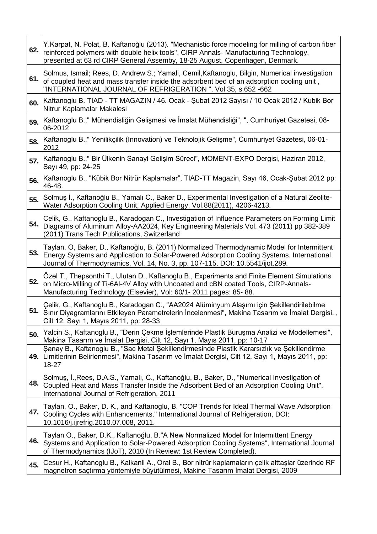| 62. | Y.Karpat, N. Polat, B. Kaftanoğlu (2013). "Mechanistic force modeling for milling of carbon fiber<br>reinforced polymers with double helix tools", CIRP Annals- Manufacturing Technology,<br>presented at 63 rd CIRP General Assemby, 18-25 August, Copenhagen, Denmark.   |
|-----|----------------------------------------------------------------------------------------------------------------------------------------------------------------------------------------------------------------------------------------------------------------------------|
| 61. | Solmus, Ismail; Rees, D. Andrew S.; Yamali, Cemil, Kaftanoglu, Bilgin, Numerical investigation<br>of coupled heat and mass transfer inside the adsorbent bed of an adsorption cooling unit,<br>"INTERNATIONAL JOURNAL OF REFRIGERATION ", Vol 35, s.652 -662               |
| 60. | Kaftanoglu B. TIAD - TT MAGAZIN / 46. Ocak - Şubat 2012 Sayısı / 10 Ocak 2012 / Kubik Bor<br>Nitrur Kaplamalar Makalesi                                                                                                                                                    |
| 59. | Kaftanoglu B.," Mühendisliğin Gelişmesi ve İmalat Mühendisliği", ", Cumhuriyet Gazetesi, 08-<br>06-2012                                                                                                                                                                    |
| 58. | Kaftanoglu B.," Yenilikçilik (Innovation) ve Teknolojik Gelişme", Cumhuriyet Gazetesi, 06-01-<br>2012                                                                                                                                                                      |
| 57. | Kaftanoglu B.," Bir Ülkenin Sanayi Gelişim Süreci", MOMENT-EXPO Dergisi, Haziran 2012,<br>Sayı 49, pp: 24-25                                                                                                                                                               |
| 56. | Kaftanoglu B., "Kübik Bor Nitrür Kaplamalar", TIAD-TT Magazin, Sayı 46, Ocak-Şubat 2012 pp:<br>46-48.                                                                                                                                                                      |
| 55. | Solmuş İ., Kaftanoğlu B., Yamalı C., Baker D., Experimental Investigation of a Natural Zeolite-<br>Water Adsorption Cooling Unit, Applied Energy, Vol.88(2011), 4206-4213.                                                                                                 |
| 54. | Celik, G., Kaftanoglu B., Karadogan C., Investigation of Influence Parameters on Forming Limit<br>Diagrams of Aluminum Alloy-AA2024, Key Engineering Materials Vol. 473 (2011) pp 382-389<br>(2011) Trans Tech Publications, Switzerland                                   |
| 53. | Taylan, O, Baker, D., Kaftanoğlu, B. (2011) Normalized Thermodynamic Model for Intermittent<br>Energy Systems and Application to Solar-Powered Adsorption Cooling Systems. International<br>Journal of Thermodynamics, Vol. 14, No. 3, pp. 107-115. DOI: 10.5541/ijot.289. |
| 52. | Özel T., Thepsonthi T., Ulutan D., Kaftanoglu B., Experiments and Finite Element Simulations<br>on Micro-Milling of Ti-6AI-4V Alloy with Uncoated and cBN coated Tools, CIRP-Annals-<br>Manufacturing Technology (Elsevier), Vol: 60/1-2011 pages: 85-88.                  |
| 51. | Çelik, G., Kaftanoglu B., Karadogan C., "AA2024 Alüminyum Alaşımı için Şekillendirilebilme<br>Sınır Diyagramlarını Etkileyen Parametrelerin İncelenmesi", Makina Tasarım ve İmalat Dergisi, ,<br>Cilt 12, Sayı 1, Mayıs 2011, pp: 28-33                                    |
| 50. | Yalcin S., Kaftanoglu B., "Derin Çekme İşlemlerinde Plastik Buruşma Analizi ve Modellemesi",<br>Makina Tasarım ve İmalat Dergisi, Cilt 12, Sayı 1, Mayıs 2011, pp: 10-17                                                                                                   |
| 49. | Şanay B., Kaftanoglu B., "Sac Metal Şekillendirmesinde Plastik Kararsızlık ve Şekillendirme<br>Limitlerinin Belirlenmesi", Makina Tasarım ve İmalat Dergisi, Cilt 12, Sayı 1, Mayıs 2011, pp:<br>18-27                                                                     |
| 48. | Solmuş, İ., Rees, D.A.S., Yamalı, C., Kaftanoğlu, B., Baker, D., "Numerical Investigation of<br>Coupled Heat and Mass Transfer Inside the Adsorbent Bed of an Adsorption Cooling Unit",<br>International Journal of Refrigeration, 2011                                    |
| 47. | Taylan, O., Baker, D. K., and Kaftanoglu, B. "COP Trends for Ideal Thermal Wave Adsorption<br>Cooling Cycles with Enhancements." International Journal of Refrigeration, DOI:<br>10.1016/j.ijrefrig.2010.07.008, 2011.                                                     |
| 46. | Taylan O., Baker, D.K., Kaftanoğlu, B."A New Normalized Model for Intermittent Energy<br>Systems and Application to Solar-Powered Adsorption Cooling Systems", International Journal<br>of Thermodynamics (IJoT), 2010 (In Review: 1st Review Completed).                  |
| 45. | Cesur H., Kaftanoglu B., Kalkanli A., Oral B., Bor nitrür kaplamaların çelik alttaşlar üzerinde RF<br>magnetron saçtırma yöntemiyle büyütülmesi, Makine Tasarım İmalat Dergisi, 2009                                                                                       |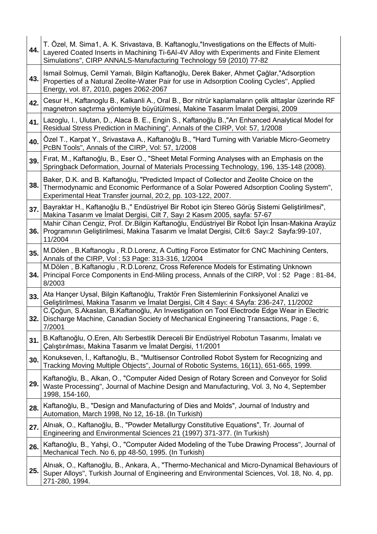| 44.  | T. Özel, M. Sima1, A. K. Srivastava, B. Kaftanoglu,"Investigations on the Effects of Multi-<br>Layered Coated Inserts in Machining Ti-6AI-4V Alloy with Experiments and Finite Element<br>Simulations", CIRP ANNALS-Manufacturing Technology 59 (2010) 77-82 |
|------|--------------------------------------------------------------------------------------------------------------------------------------------------------------------------------------------------------------------------------------------------------------|
| 43.1 | Ismail Solmuş, Cemil Yamalı, Bilgin Kaftanoğlu, Derek Baker, Ahmet Çağlar,"Adsorption<br>Properties of a Natural Zeolite-Water Pair for use in Adsorption Cooling Cycles", Applied<br>Energy, vol. 87, 2010, pages 2062-2067                                 |
| 42.  | Cesur H., Kaftanoglu B., Kalkanli A., Oral B., Bor nitrür kaplamaların çelik alttaşlar üzerinde RF<br>magnetron saçtırma yöntemiyle büyütülmesi, Makine Tasarım İmalat Dergisi, 2009                                                                         |
| 41.  | Lazoglu, I., Ulutan, D., Alaca B. E., Engin S., Kaftanoğlu B.,"An Enhanced Analytical Model for<br>Residual Stress Prediction in Machining", Annals of the CIRP, Vol: 57, 1/2008                                                                             |
| 40.  | Özel T., Karpat Y., Srivastava A., Kaftanoğlu B., "Hard Turning with Variable Micro-Geometry<br>PcBN Tools", Annals of the CIRP, Vol: 57, 1/2008                                                                                                             |
| 39.  | Firat, M., Kaftanoğlu, B., Eser O., "Sheet Metal Forming Analyses with an Emphasis on the<br>Springback Deformation, Journal of Materials Processing Technology, 196, 135-148 (2008).                                                                        |
| 38.  | Baker, D.K. and B. Kaftanoğlu, "Predicted Impact of Collector and Zeolite Choice on the<br>Thermodynamic and Economic Performance of a Solar Powered Adsorption Cooling System",<br>Experimental Heat Transfer journal, 20:2, pp. 103-122, 2007.             |
| 37.  | Bayraktar H., Kaftanoğlu B.," Endüstriyel Bir Robot için Stereo Görüş Sistemi Geliştirilmesi",<br>Makina Tasarım ve İmalat Dergisi, Cilt 7, Sayı 2 Kasım 2005, sayfa: 57-67                                                                                  |
|      | Mahir Cihan Cengiz, Prof. Dr. Bilgin Kaftanoğlu, Endüstriyel Bir Robot İçin İnsan-Makina Arayüz<br>36. Programının Geliştirilmesi, Makina Tasarım ve İmalat Dergisi, Cilt:6 Sayı:2 Sayfa:99-107,<br>11/2004                                                  |
| 35.  | M.Dölen, B.Kaftanoglu, R.D.Lorenz, A Cutting Force Estimator for CNC Machining Centers,<br>Annals of the CIRP, Vol: 53 Page: 313-316, 1/2004                                                                                                                 |
|      | M.Dölen, B.Kaftanoglu, R.D.Lorenz, Cross Reference Models for Estimating Unknown<br>34. Principal Force Components in End-Miling process, Annals of the CIRP, Vol: 52 Page: 81-84,<br>8/2003                                                                 |
| 33.  | Ata Hançer Uysal, Bilgin Kaftanoğlu, Traktör Fren Sistemlerinin Fonksiyonel Analizi ve<br>Geliştirilmesi, Makina Tasarım ve İmalat Dergisi, Cilt 4 Sayı: 4 SAyfa: 236-247, 11/2002                                                                           |
|      | C.Çoğun, S.Akaslan, B.Kaftanoğlu, An Investigation on Tool Electrode Edge Wear in Electric<br>32. Discharge Machine, Canadian Society of Mechanical Engineering Transactions, Page: 6,<br>7/2001                                                             |
| 31.  | B.Kaftanoğlu, O.Eren, Altı Serbestlik Dereceli Bir Endüstriyel Robotun Tasarımı, İmalatı ve<br>Calıştırılması, Makina Tasarım ve İmalat Dergisi, 11/2001                                                                                                     |
| 30.  | Konukseven, I., Kaftanoğlu, B., "Multisensor Controlled Robot System for Recognizing and<br>Tracking Moving Multiple Objects", Journal of Robotic Systems, 16(11), 651-665, 1999.                                                                            |
| 29.  | Kaftanoğlu, B., Alkan, O., "Computer Aided Design of Rotary Screen and Conveyor for Solid<br>Waste Processing", Journal of Machine Design and Manufacturing, Vol. 3, No 4, September<br>1998, 154-160,                                                       |
| 28.  | Kaftanoğlu, B., "Design and Manufacturing of Dies and Molds", Journal of Industry and<br>Automation, March 1998, No 12, 16-18. (In Turkish)                                                                                                                  |
| 27.  | Alnıak, O., Kaftanoğlu, B., "Powder Metallurgy Constitutive Equations", Tr. Journal of<br>Engineering and Environmental Sciences 21 (1997) 371-377. (In Turkish)                                                                                             |
| 26.  | Kaftanoğlu, B., Yahşi, O., "Computer Aided Modeling of the Tube Drawing Process", Journal of<br>Mechanical Tech. No 6, pp 48-50, 1995. (In Turkish)                                                                                                          |
| 25.  | Alniak, O., Kaftanoğlu, B., Ankara, A., "Thermo-Mechanical and Micro-Dynamical Behaviours of<br>Super Alloys", Turkish Journal of Engineering and Environmental Sciences, Vol. 18, No. 4, pp.<br>271-280, 1994.                                              |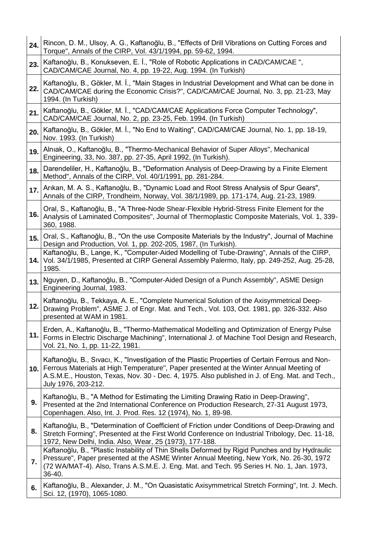| 24.  | Rincon, D. M., Ulsoy, A. G., Kaftanoğlu, B., "Effects of Drill Vibrations on Cutting Forces and<br>Torque", Annals of the CIRP, Vol. 43/1/1994, pp. 59-62, 1994.                                                                                                                                                     |
|------|----------------------------------------------------------------------------------------------------------------------------------------------------------------------------------------------------------------------------------------------------------------------------------------------------------------------|
| 23.  | Kaftanoğlu, B., Konukseven, E. İ., "Role of Robotic Applications in CAD/CAM/CAE",<br>CAD/CAM/CAE Journal, No. 4, pp. 19-22, Aug. 1994. (In Turkish)                                                                                                                                                                  |
| 22.  | Kaftanoğlu, B., Gökler, M. İ., "Main Stages in Industrial Development and What can be done in<br>CAD/CAM/CAE during the Economic Crisis?", CAD/CAM/CAE Journal, No. 3, pp. 21-23, May<br>1994. (In Turkish)                                                                                                          |
| 21.  | Kaftanoğlu, B., Gökler, M. İ., "CAD/CAM/CAE Applications Force Computer Technology",<br>CAD/CAM/CAE Journal, No. 2, pp. 23-25, Feb. 1994. (In Turkish)                                                                                                                                                               |
| 20.  | Kaftanoğlu, B., Gökler, M. İ., "No End to Waiting", CAD/CAM/CAE Journal, No. 1, pp. 18-19,<br>Nov. 1993. (In Turkish)                                                                                                                                                                                                |
| 19.  | Alnıak, O., Kaftanoğlu, B., "Thermo-Mechanical Behavior of Super Alloys", Mechanical<br>Engineering, 33, No. 387, pp. 27-35, April 1992, (In Turkish).                                                                                                                                                               |
| 18.  | Darendeliler, H., Kaftanoğlu, B., "Deformation Analysis of Deep-Drawing by a Finite Element<br>Method", Annals of the CIRP, Vol. 40/1/1991, pp. 281-284.                                                                                                                                                             |
| 17.  | Arıkan, M. A. S., Kaftanoğlu, B., "Dynamic Load and Root Stress Analysis of Spur Gears",<br>Annals of the CIRP, Trondheim, Norway, Vol. 38/1/1989, pp. 171-174, Aug. 21-23, 1989.                                                                                                                                    |
| 16.  | Oral, S., Kaftanoğlu, B., "A Three-Node Shear-Flexible Hybrid-Stress Finite Element for the<br>Analysis of Laminated Composites", Journal of Thermoplastic Composite Materials, Vol. 1, 339-<br>360, 1988.                                                                                                           |
| 15.  | Oral, S., Kaftanoğlu, B., "On the use Composite Materials by the Industry", Journal of Machine<br>Design and Production, Vol. 1, pp. 202-205, 1987, (In Turkish).                                                                                                                                                    |
|      | Kaftanoğlu, B., Lange, K., "Computer-Aided Modelling of Tube-Drawing", Annals of the CIRP,<br>14. Vol. 34/1/1985, Presented at CIRP General Assembly Palermo, Italy, pp. 249-252, Aug. 25-28,<br>1985.                                                                                                               |
| 13.  | Nguyen, D., Kaftanoğlu, B., "Computer-Aided Design of a Punch Assembly", ASME Design<br>Engineering Journal, 1983.                                                                                                                                                                                                   |
| 12.  | Kaftanoğlu, B., Tekkaya, A. E., "Complete Numerical Solution of the Axisymmetrical Deep-<br>Drawing Problem", ASME J. of Engr. Mat. and Tech., Vol. 103, Oct. 1981, pp. 326-332. Also<br>presented at WAM in 1981.                                                                                                   |
| 11.  | Erden, A., Kaftanoğlu, B., "Thermo-Mathematical Modelling and Optimization of Energy Pulse<br>Forms in Electric Discharge Machining", International J. of Machine Tool Design and Research,<br>Vol. 21, No. 1, pp. 11-22, 1981.                                                                                      |
| 10.1 | Kaftanoğlu, B., Sıvacı, K., "Investigation of the Plastic Properties of Certain Ferrous and Non-<br>Ferrous Materials at High Temperature", Paper presented at the Winter Annual Meeting of<br>A.S.M.E., Houston, Texas, Nov. 30 - Dec. 4, 1975. Also published in J. of Eng. Mat. and Tech.,<br>July 1976, 203-212. |
| 9.   | Kaftanoğlu, B., "A Method for Estimating the Limiting Drawing Ratio in Deep-Drawing",<br>Presented at the 2nd International Conference on Production Research, 27-31 August 1973,<br>Copenhagen. Also, Int. J. Prod. Res. 12 (1974), No. 1, 89-98.                                                                   |
| 8.   | Kaftanoğlu, B., "Determination of Coefficient of Friction under Conditions of Deep-Drawing and<br>Stretch Forming", Presented at the First World Conference on Industrial Tribology, Dec. 11-18,<br>1972, New Delhi, India. Also, Wear, 25 (1973), 177-188.                                                          |
| 7.   | Kaftanoğlu, B., "Plastic Instability of Thin Shells Deformed by Rigid Punches and by Hydraulic<br>Pressure", Paper presented at the ASME Winter Annual Meeting, New York, No. 26-30, 1972<br>(72 WA/MAT-4). Also, Trans A.S.M.E. J. Eng. Mat. and Tech. 95 Series H. No. 1, Jan. 1973,<br>36-40.                     |
| 6.   | Kaftanoğlu, B., Alexander, J. M., "On Quasistatic Axisymmetrical Stretch Forming", Int. J. Mech.<br>Sci. 12, (1970), 1065-1080.                                                                                                                                                                                      |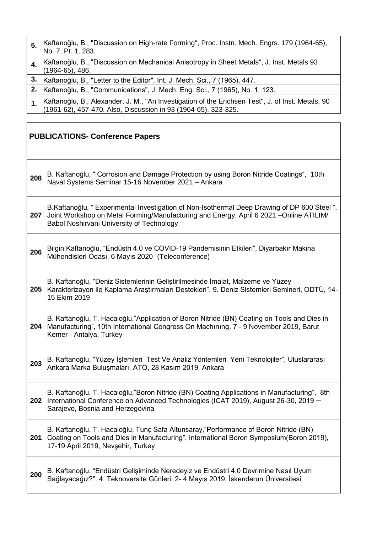| 5. | Kaftanoğlu, B., "Discussion on High-rate Forming", Proc. Instn. Mech. Engrs. 179 (1964-65),<br>No. 7, Pt. 1, 283.                                                |
|----|------------------------------------------------------------------------------------------------------------------------------------------------------------------|
|    | Kaftanoğlu, B., "Discussion on Mechanical Anisotropy in Sheet Metals", J. Inst. Metals 93<br>$(1964-65), 486.$                                                   |
| 3. | Kaftanoğlu, B., "Letter to the Editor", Int. J. Mech. Sci., 7 (1965), 447.                                                                                       |
|    | Kaftanoğlu, B., "Communications", J. Mech. Eng. Sci., 7 (1965), No. 1, 123.                                                                                      |
|    | Kaftanoğlu, B., Alexander, J. M., "An Investigation of the Erichsen Test", J. of Inst. Metals, 90 (1961-62), 457-470. Also, Discussion in 93 (1964-65), 323-325. |

|     | <b>PUBLICATIONS- Conference Papers</b>                                                                                                                                                                                                     |  |
|-----|--------------------------------------------------------------------------------------------------------------------------------------------------------------------------------------------------------------------------------------------|--|
| 208 | B. Kaftanoğlu, " Corrosion and Damage Protection by using Boron Nitride Coatings", 10th<br>Naval Systems Seminar 15-16 November 2021 - Ankara                                                                                              |  |
| 207 | B.Kaftanoğlu, "Experimental Investigation of Non-Isothermal Deep Drawing of DP 600 Steel ",<br>Joint Workshop on Metal Forming/Manufacturing and Energy, April 6 2021 - Online ATILIM/<br><b>Babol Noshirvani University of Technology</b> |  |
| 206 | Bilgin Kaftanoğlu, "Endüstri 4.0 ve COVID-19 Pandemisinin Etkileri", Diyarbakır Makina<br>Mühendisleri Odası, 6 Mayıs 2020- (Teleconference)                                                                                               |  |
| 205 | B. Kaftanoğlu, "Deniz Sistemlerinin Geliştirilmesinde İmalat, Malzeme ve Yüzey<br>Karakterizayon ile Kaplama Araştırmaları Destekleri", 9. Deniz Sistemleri Semineri, ODTÜ, 14-<br>15 Ekim 2019                                            |  |
| 204 | B. Kaftanoğlu, T. Hacaloğlu,"Application of Boron Nitride (BN) Coating on Tools and Dies in<br>Manufacturing", 10th International Congress On Machining, 7 - 9 November 2019, Barut<br>Kemer - Antalya, Turkey                             |  |
| 203 | B. Kaftanoğlu, "Yüzey İşlemleri Test Ve Analiz Yöntemleri Yeni Teknolojiler", Uluslararası<br>Ankara Marka Buluşmaları, ATO, 28 Kasım 2019, Ankara                                                                                         |  |
| 202 | B. Kaftanoğlu, T. Hacaloğlu, "Boron Nitride (BN) Coating Applications in Manufacturing", 8th<br>International Conference on Advanced Technologies (ICAT 2019), August 26-30, 2019 -<br>Sarajevo, Bosnia and Herzegovina                    |  |
| 201 | B. Kaftanoğlu, T. Hacaloğlu, Tunç Safa Altunsaray,"Performance of Boron Nitride (BN)<br>Coating on Tools and Dies in Manufacturing", International Boron Symposium(Boron 2019),<br>17-19 April 2019, Nevşehir, Turkey                      |  |
| 200 | B. Kaftanoğlu, "Endüstri Gelişiminde Neredeyiz ve Endüstri 4.0 Devrimine Nasıl Uyum<br>Sağlayacağız?", 4. Teknoversite Günleri, 2- 4 Mayıs 2019, İskenderun Üniversitesi                                                                   |  |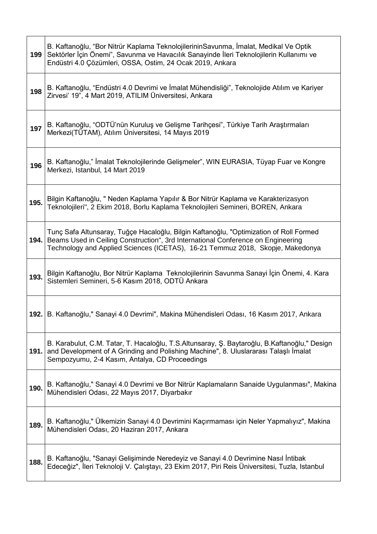| 199  | B. Kaftanoğlu, "Bor Nitrür Kaplama TeknolojilerininSavunma, İmalat, Medikal Ve Optik<br>Sektörler İçin Önemi", Savunma ve Havacılık Sanayinde İleri Teknolojilerin Kullanımı ve<br>Endüstri 4.0 Çözümleri, OSSA, Ostim, 24 Ocak 2019, Ankara                 |
|------|--------------------------------------------------------------------------------------------------------------------------------------------------------------------------------------------------------------------------------------------------------------|
| 198  | B. Kaftanoğlu, "Endüstri 4.0 Devrimi ve İmalat Mühendisliği", Teknolojide Atılım ve Kariyer<br>Zirvesi' 19", 4 Mart 2019, ATILIM Üniversitesi, Ankara                                                                                                        |
| 197  | B. Kaftanoğlu, "ODTÜ'nün Kuruluş ve Gelişme Tarihçesi", Türkiye Tarih Araştırmaları<br>Merkezi(TÜTAM), Atılım Üniversitesi, 14 Mayıs 2019                                                                                                                    |
| 196  | B. Kaftanoğlu," İmalat Teknolojilerinde Gelişmeler", WIN EURASIA, Tüyap Fuar ve Kongre<br>Merkezi, Istanbul, 14 Mart 2019                                                                                                                                    |
| 195. | Bilgin Kaftanoğlu, " Neden Kaplama Yapılır & Bor Nitrür Kaplama ve Karakterizasyon<br>Teknolojileri", 2 Ekim 2018, Borlu Kaplama Teknolojileri Semineri, BOREN, Ankara                                                                                       |
| 194. | Tunç Safa Altunsaray, Tuğçe Hacaloğlu, Bilgin Kaftanoğlu, "Optimization of Roll Formed<br>Beams Used in Ceiling Construction", 3rd International Conference on Engineering<br>Technology and Applied Sciences (ICETAS), 16-21 Temmuz 2018, Skopje, Makedonya |
| 193. | Bilgin Kaftanoğlu, Bor Nitrür Kaplama Teknolojilerinin Savunma Sanayi İçin Önemi, 4. Kara<br>Sistemleri Semineri, 5-6 Kasım 2018, ODTÜ Ankara                                                                                                                |
|      | 192. B. Kaftanoğlu," Sanayi 4.0 Devrimi", Makina Mühendisleri Odası, 16 Kasım 2017, Ankara                                                                                                                                                                   |
| 191. | B. Karabulut, C.M. Tatar, T. Hacaloğlu, T.S.Altunsaray, Ş. Baytaroğlu, B.Kaftanoğlu," Design<br>and Development of A Grinding and Polishing Machine", 8. Uluslararası Talaşlı İmalat<br>Sempozyumu, 2-4 Kasım, Antalya, CD Proceedings                       |
| 190. | B. Kaftanoğlu," Sanayi 4.0 Devrimi ve Bor Nitrür Kaplamaların Sanaide Uygulanması", Makina<br>Mühendisleri Odası, 22 Mayıs 2017, Diyarbakır                                                                                                                  |
| 189. | B. Kaftanoğlu," Ülkemizin Sanayi 4.0 Devrimini Kaçırmaması için Neler Yapmalıyız", Makina<br>Mühendisleri Odası, 20 Haziran 2017, Ankara                                                                                                                     |
| 188. | B. Kaftanoğlu, "Sanayi Gelişiminde Neredeyiz ve Sanayi 4.0 Devrimine Nasıl İntibak<br>Edeceğiz", İleri Teknoloji V. Çalıştayı, 23 Ekim 2017, Piri Reis Üniversitesi, Tuzla, Istanbul                                                                         |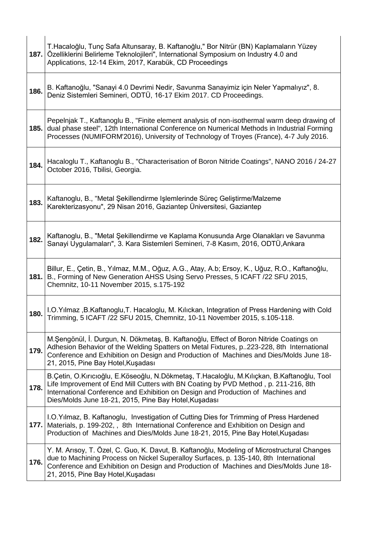| 187. | T.Hacaloğlu, Tunç Safa Altunsaray, B. Kaftanoğlu," Bor Nitrür (BN) Kaplamaların Yüzey<br>Özelliklerini Belirleme Teknolojileri", International Symposium on Industry 4.0 and<br>Applications, 12-14 Ekim, 2017, Karabük, CD Proceedings                                                                                        |
|------|--------------------------------------------------------------------------------------------------------------------------------------------------------------------------------------------------------------------------------------------------------------------------------------------------------------------------------|
| 186. | B. Kaftanoğlu, "Sanayi 4.0 Devrimi Nedir, Savunma Sanayimiz için Neler Yapmalıyız", 8.<br>Deniz Sistemleri Semineri, ODTÜ, 16-17 Ekim 2017. CD Proceedings.                                                                                                                                                                    |
| 185. | Pepelnjak T., Kaftanoglu B., "Finite element analysis of non-isothermal warm deep drawing of<br>dual phase steel", 12th International Conference on Numerical Methods in Industrial Forming<br>Processes (NUMIFORM'2016), University of Technology of Troyes (France), 4-7 July 2016.                                          |
| 184. | Hacaloglu T., Kaftanoglu B., "Characterisation of Boron Nitride Coatings", NANO 2016 / 24-27<br>October 2016, Tbilisi, Georgia.                                                                                                                                                                                                |
| 183. | Kaftanoglu, B., "Metal Şekillendirme Işlemlerinde Süreç Geliştirme/Malzeme<br>Karekterizasyonu", 29 Nisan 2016, Gaziantep Üniversitesi, Gaziantep                                                                                                                                                                              |
| 182. | Kaftanoglu, B., "Metal Şekillendirme ve Kaplama Konusunda Arge Olanakları ve Savunma<br>Sanayi Uygulamaları", 3. Kara Sistemleri Semineri, 7-8 Kasım, 2016, ODTÜ, Ankara                                                                                                                                                       |
| 181. | Billur, E., Çetin, B., Yılmaz, M.M., Oğuz, A.G., Atay, A.b; Ersoy, K., Uğuz, R.O., Kaftanoğlu,<br>B., Forming of New Generation AHSS Using Servo Presses, 5 ICAFT /22 SFU 2015,<br>Chemnitz, 10-11 November 2015, s.175-192                                                                                                    |
| 180. | I.O.Yılmaz, B.Kaftanoglu, T. Hacaloglu, M. Kılıckan, Integration of Press Hardening with Cold<br>Trimming, 5 ICAFT /22 SFU 2015, Chemnitz, 10-11 November 2015, s.105-118.                                                                                                                                                     |
| 179. | M.Şengönül, İ. Durgun, N. Dökmetaş, B. Kaftanoğlu, Effect of Boron Nitride Coatings on<br>Adhesion Behavior of the Welding Spatters on Metal Fixtures, p223-228, 8th International<br>Conference and Exhibition on Design and Production of Machines and Dies/Molds June 18-<br>21, 2015, Pine Bay Hotel, Kusadası             |
| 178. | B.Çetin, O.Kırıcıoğlu, E.Köseoğlu, N.Dökmetaş, T.Hacaloğlu, M.Kılıçkan, B.Kaftanoğlu, Tool<br>Life Improvement of End Mill Cutters with BN Coating by PVD Method, p. 211-216, 8th<br>International Conference and Exhibition on Design and Production of Machines and<br>Dies/Molds June 18-21, 2015, Pine Bay Hotel, Kuşadası |
| 177. | I.O.Yilmaz, B. Kaftanoglu, Investigation of Cutting Dies for Trimming of Press Hardened<br>Materials, p. 199-202, , 8th International Conference and Exhibition on Design and<br>Production of Machines and Dies/Molds June 18-21, 2015, Pine Bay Hotel, Kuşadası                                                              |
| 176. | Y. M. Arisoy, T. Özel, C. Guo, K. Davut, B. Kaftanoğlu, Modeling of Microstructural Changes<br>due to Machining Process on Nickel Superalloy Surfaces, p. 135-140, 8th International<br>Conference and Exhibition on Design and Production of Machines and Dies/Molds June 18-<br>21, 2015, Pine Bay Hotel, Kuşadası           |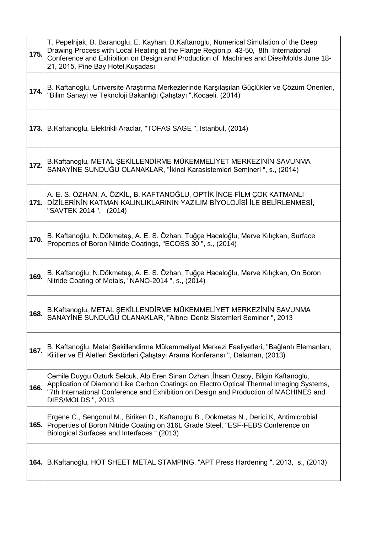| 175. | T. Pepelnjak, B. Baranoglu, E. Kayhan, B. Kaftanoglu, Numerical Simulation of the Deep<br>Drawing Process with Local Heating at the Flange Region, p. 43-50, 8th International<br>Conference and Exhibition on Design and Production of Machines and Dies/Molds June 18-<br>21, 2015, Pine Bay Hotel, Kuşadası |
|------|----------------------------------------------------------------------------------------------------------------------------------------------------------------------------------------------------------------------------------------------------------------------------------------------------------------|
| 174. | B. Kaftanoglu, Üniversite Araştırma Merkezlerinde Karşılaşılan Güçlükler ve Çözüm Önerileri,<br>"Bilim Sanayi ve Teknoloji Bakanlığı Çalıştayı ", Kocaeli, (2014)                                                                                                                                              |
|      | 173. B. Kaftanoglu, Elektrikli Araclar, "TOFAS SAGE", Istanbul, (2014)                                                                                                                                                                                                                                         |
| 172. | B.Kaftanoglu, METAL ŞEKİLLENDİRME MÜKEMMELİYET MERKEZİNİN SAVUNMA<br>SANAYİNE SUNDUĞU OLANAKLAR, "İkinci Karasistemleri Semineri ", s., (2014)                                                                                                                                                                 |
| 171. | A. E. S. ÖZHAN, A. ÖZKİL, B. KAFTANOĞLU, OPTİK İNCE FİLM ÇOK KATMANLI<br>DİZİLERİNİN KATMAN KALINLIKLARININ YAZILIM BİYOLOJİSİ İLE BELİRLENMESİ,<br>"SAVTEK 2014", (2014)                                                                                                                                      |
| 170. | B. Kaftanoğlu, N.Dökmetaş, A. E. S. Özhan, Tuğçe Hacaloğlu, Merve Kılıçkan, Surface<br>Properties of Boron Nitride Coatings, "ECOSS 30", s., (2014)                                                                                                                                                            |
| 169. | B. Kaftanoğlu, N.Dökmetaş, A. E. S. Özhan, Tuğçe Hacaloğlu, Merve Kılıçkan, On Boron<br>Nitride Coating of Metals, "NANO-2014", s., (2014)                                                                                                                                                                     |
| 168. | B.Kaftanoglu, METAL ŞEKİLLENDİRME MÜKEMMELİYET MERKEZİNİN SAVUNMA<br>SANAYİNE SUNDUĞU OLANAKLAR, "Altıncı Deniz Sistemleri Seminer ", 2013                                                                                                                                                                     |
| 167. | B. Kaftanoğlu, Metal Şekillendirme Mükemmeliyet Merkezi Faaliyetleri, "Bağlantı Elemanları,<br>Kilitler ve El Aletleri Sektörleri Çalıştayı Arama Konferansı ", Dalaman, (2013)                                                                                                                                |
| 166. | Cemile Duygu Ozturk Selcuk, Alp Eren Sinan Ozhan , İhsan Ozsoy, Bilgin Kaftanoglu,<br>Application of Diamond Like Carbon Coatings on Electro Optical Thermal Imaging Systems,<br>"7th International Conference and Exhibition on Design and Production of MACHINES and<br>DIES/MOLDS ", 2013                   |
| 165. | Ergene C., Sengonul M., Biriken D., Kaftanoglu B., Dokmetas N., Derici K, Antimicrobial<br>Properties of Boron Nitride Coating on 316L Grade Steel, "ESF-FEBS Conference on<br>Biological Surfaces and Interfaces " (2013)                                                                                     |
| 164. | B.Kaftanoğlu, HOT SHEET METAL STAMPING, "APT Press Hardening ", 2013, s., (2013)                                                                                                                                                                                                                               |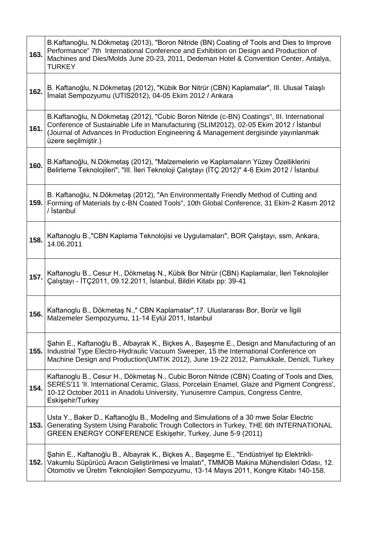| 163. | B.Kaftanoğlu, N.Dökmetaş (2013), "Boron Nitride (BN) Coating of Tools and Dies to Improve<br>Performance" 7th International Conference and Exhibition on Design and Production of<br>Machines and Dies/Molds June 20-23, 2011, Dedeman Hotel & Convention Center, Antalya,<br>TURKEY              |
|------|---------------------------------------------------------------------------------------------------------------------------------------------------------------------------------------------------------------------------------------------------------------------------------------------------|
| 162. | B. Kaftanoğlu, N.Dökmetaş (2012), "Kübik Bor Nitrür (CBN) Kaplamalar", III. Ulusal Talaşlı<br>Imalat Sempozyumu (UTIS2012), 04-05 Ekim 2012 / Ankara                                                                                                                                              |
| 161. | B.Kaftanoğlu, N.Dökmetaş (2012), "Cubic Boron Nitride (c-BN) Coatings", III. International<br>Conference of Sustainable Life in Manufacturing (SLIM2012), 02-05 Ekim 2012 / İstanbul<br>(Journal of Advances In Production Engineering & Management dergisinde yayınlanmak<br>üzere seçilmiştir.) |
| 160. | B.Kaftanoğlu, N.Dökmetaş (2012), "Malzemelerin ve Kaplamaların Yüzey Özelliklerini<br>Belirleme Teknolojileri", "III. İleri Teknoloji Çalıştayı (İTÇ 2012)" 4-6 Ekim 2012 / İstanbul                                                                                                              |
| 159. | B. Kaftanoğlu, N.Dökmetaş (2012), "An Environmentally Friendly Method of Cutting and<br>Forming of Materials by c-BN Coated Tools", 10th Global Conference, 31 Ekim-2 Kasım 2012<br>/ İstanbul                                                                                                    |
| 158. | Kaftanoglu B.,"CBN Kaplama Teknolojisi ve Uygulamaları", BOR Çalıştayı, ssm, Ankara,<br>14.06.2011                                                                                                                                                                                                |
| 157. | Kaftanoglu B., Cesur H., Dökmetaş N., Kübik Bor Nitrür (CBN) Kaplamalar, İleri Teknolojiler<br>Çalıştayı - İTÇ2011, 09.12.2011, İstanbul, Bildiri Kitabı pp: 39-41                                                                                                                                |
| 156. | Kaftanoglu B., Dökmetaş N.," CBN Kaplamalar", 17. Uluslararası Bor, Borür ve İlgili<br>Malzemeler Sempozyumu, 11-14 Eylül 2011, Istanbul                                                                                                                                                          |
| 155. | Şahin E., Kaftanoğlu B., Albayrak K., Biçkes A., Başeşme E., Design and Manufacturing of an<br>Industrial Type Electro-Hydraulic Vacuum Sweeper, 15 the International Conference on<br>Machine Design and Production(UMTIK 2012), June 19-22 2012, Pamukkale, Denizli, Turkey                     |
| 154. | Kaftanoglu B., Cesur H., Dökmetaş N., Cubic Boron Nitride (CBN) Coating of Tools and Dies,<br>SERES'11 'II. International Ceramic, Glass, Porcelain Enamel, Glaze and Pigment Congress',<br>10-12 October 2011 in Anadolu University, Yunusemre Campus, Congress Centre,<br>Eskişehir/Turkey      |
| 153. | Usta Y., Baker D., Kaftanoğlu B., Modeling and Simulations of a 30 mwe Solar Electric<br>Generating System Using Parabolic Trough Collectors in Turkey, THE 6th INTERNATIONAL<br>GREEN ENERGY CONFERENCE Eskişehir, Turkey, June 5-9 (2011)                                                       |
| 152. | Şahin E., Kaftanoğlu B., Albayrak K., Biçkes A., Başeşme E., "Endüstriyel tip Elektrikli-<br>Vakumlu Süpürücü Aracın Geliştirilmesi ve İmalatı", TMMOB Makina Mühendisleri Odası, 12.<br>Otomotiv ve Üretim Teknolojileri Sempozyumu, 13-14 Mayıs 2011, Kongre Kitabı 140-158.                    |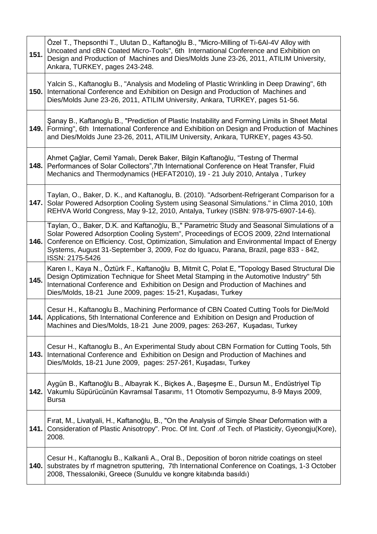| 151. | Özel T., Thepsonthi T., Ulutan D., Kaftanoğlu B., "Micro-Milling of Ti-6Al-4V Alloy with<br>Uncoated and cBN Coated Micro-Tools", 6th International Conference and Exhibition on<br>Design and Production of Machines and Dies/Molds June 23-26, 2011, ATILIM University,<br>Ankara, TURKEY, pages 243-248.                                                                                     |
|------|-------------------------------------------------------------------------------------------------------------------------------------------------------------------------------------------------------------------------------------------------------------------------------------------------------------------------------------------------------------------------------------------------|
| 150. | Yalcin S., Kaftanoglu B., "Analysis and Modeling of Plastic Wrinkling in Deep Drawing", 6th<br>International Conference and Exhibition on Design and Production of Machines and<br>Dies/Molds June 23-26, 2011, ATILIM University, Ankara, TURKEY, pages 51-56.                                                                                                                                 |
| 149. | Sanay B., Kaftanoglu B., "Prediction of Plastic Instability and Forming Limits in Sheet Metal<br>Forming", 6th International Conference and Exhibition on Design and Production of Machines<br>and Dies/Molds June 23-26, 2011, ATILIM University, Ankara, TURKEY, pages 43-50.                                                                                                                 |
| 148. | Ahmet Çağlar, Cemil Yamalı, Derek Baker, Bilgin Kaftanoğlu, "Testing of Thermal<br>Performances of Solar Collectors", 7th International Conference on Heat Transfer, Fluid<br>Mechanics and Thermodynamics (HEFAT2010), 19 - 21 July 2010, Antalya, Turkey                                                                                                                                      |
| 147. | Taylan, O., Baker, D. K., and Kaftanoglu, B. (2010). "Adsorbent-Refrigerant Comparison for a<br>Solar Powered Adsorption Cooling System using Seasonal Simulations." in Clima 2010, 10th<br>REHVA World Congress, May 9-12, 2010, Antalya, Turkey (ISBN: 978-975-6907-14-6).                                                                                                                    |
| 146. | Taylan, O., Baker, D.K. and Kaftanoğlu, B.," Parametric Study and Seasonal Simulations of a<br>Solar Powered Adsorption Cooling System", Proceedings of ECOS 2009, 22nd International<br>Conference on Efficiency. Cost, Optimization, Simulation and Environmental Impact of Energy<br>Systems, August 31-September 3, 2009, Foz do Iguacu, Parana, Brazil, page 833 - 842,<br>ISSN: 2175-5426 |
| 145. | Karen I., Kaya N., Öztürk F., Kaftanoğlu B, Mitmit C, Polat E, "Topology Based Structural Die<br>Design Optimization Technique for Sheet Metal Stamping in the Automotive Industry" 5th<br>International Conference and Exhibition on Design and Production of Machines and<br>Dies/Molds, 18-21 June 2009, pages: 15-21, Kuşadası, Turkey                                                      |
|      | Cesur H., Kaftanoglu B., Machining Performance of CBN Coated Cutting Tools for Die/Mold<br>144. Applications, 5th International Conference and Exhibition on Design and Production of<br>Machines and Dies/Molds, 18-21 June 2009, pages: 263-267, Kuşadası, Turkey                                                                                                                             |
| 143. | Cesur H., Kaftanoglu B., An Experimental Study about CBN Formation for Cutting Tools, 5th<br>International Conference and Exhibition on Design and Production of Machines and<br>Dies/Molds, 18-21 June 2009, pages: 257-261, Kuşadası, Turkey                                                                                                                                                  |
| 142. | Aygün B., Kaftanoğlu B., Albayrak K., Biçkes A., Başeşme E., Dursun M., Endüstriyel Tip<br>Vakumlu Süpürücünün Kavramsal Tasarımı, 11 Otomotiv Sempozyumu, 8-9 Mayıs 2009,<br><b>Bursa</b>                                                                                                                                                                                                      |
| 141. | Firat, M., Livatyali, H., Kaftanoğlu, B., "On the Analysis of Simple Shear Deformation with a<br>Consideration of Plastic Anisotropy". Proc. Of Int. Conf. of Tech. of Plasticity, Gyeongju(Kore),<br>2008.                                                                                                                                                                                     |
| 140. | Cesur H., Kaftanoglu B., Kalkanli A., Oral B., Deposition of boron nitride coatings on steel<br>substrates by rf magnetron sputtering, 7th International Conference on Coatings, 1-3 October<br>2008, Thessaloniki, Greece (Sunuldu ve kongre kitabında basıldı)                                                                                                                                |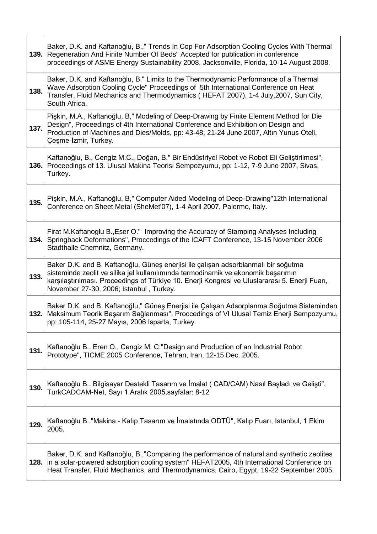| 139. | Baker, D.K. and Kaftanoğlu, B.," Trends In Cop For Adsorption Cooling Cycles With Thermal<br>Regeneration And Finite Number Of Beds" Accepted for publication in conference<br>proceedings of ASME Energy Sustainability 2008, Jacksonville, Florida, 10-14 August 2008.                                             |
|------|----------------------------------------------------------------------------------------------------------------------------------------------------------------------------------------------------------------------------------------------------------------------------------------------------------------------|
| 138. | Baker, D.K. and Kaftanoğlu, B." Limits to the Thermodynamic Performance of a Thermal<br>Wave Adsorption Cooling Cycle" Proceedings of 5th International Conference on Heat<br>Transfer, Fluid Mechanics and Thermodynamics (HEFAT 2007), 1-4 July, 2007, Sun City,<br>South Africa.                                  |
| 137. | Pişkin, M.A., Kaftanoğlu, B," Modeling of Deep-Drawing by Finite Element Method for Die<br>Design", Proceedings of 4th International Conference and Exhibition on Design and<br>Production of Machines and Dies/Molds, pp: 43-48, 21-24 June 2007, Altin Yunus Oteli,<br>Çeşme-İzmir, Turkey.                        |
| 136. | Kaftanoğlu, B., Cengiz M.C., Doğan, B." Bir Endüstriyel Robot ve Robot Eli Geliştirilmesi",<br>Proceedings of 13. Ulusal Makina Teorisi Sempozyumu, pp: 1-12, 7-9 June 2007, Sivas,<br>Turkey.                                                                                                                       |
| 135. | Pişkin, M.A., Kaftanoğlu, B," Computer Aided Modeling of Deep-Drawing"12th International<br>Conference on Sheet Metal (SheMet'07), 1-4 April 2007, Palermo, Italy.                                                                                                                                                   |
| 134. | Firat M.Kaftanoglu B., Eser O." Improving the Accuracy of Stamping Analyses Including<br>Springback Deformations", Proccedings of the ICAFT Conference, 13-15 November 2006<br>Stadthalle Chemnitz, Germany.                                                                                                         |
| 133. | Baker D.K. and B. Kaftanoğlu, Güneş enerjisi ile çalışan adsorblanmalı bir soğutma<br>sisteminde zeolit ve silika jel kullanılımında termodinamik ve ekonomik başarımın<br>karşılaştırılması. Proceedings of Türkiye 10. Enerji Kongresi ve Uluslararası 5. Enerji Fuarı,<br>November 27-30, 2006; Istanbul, Turkey. |
|      | Baker D.K. and B. Kaftanoğlu," Güneş Enerjisi ile Çalışan Adsorplanma Soğutma Sisteminden<br>132.   Maksimum Teorik Başarım Sağlanması", Proccedings of VI Ulusal Temiz Enerji Sempozyumu,<br>pp: 105-114, 25-27 Mayıs, 2006 Isparta, Turkey.                                                                        |
| 131. | Kaftanoğlu B., Eren O., Cengiz M: C:"Design and Production of an Industrial Robot<br>Prototype", TICME 2005 Conference, Tehran, Iran, 12-15 Dec. 2005.                                                                                                                                                               |
| 130. | Kaftanoğlu B., Bilgisayar Destekli Tasarım ve İmalat ( CAD/CAM) Nasıl Başladı ve Gelişti",<br>TurkCADCAM-Net, Sayı 1 Aralık 2005, sayfalar: 8-12                                                                                                                                                                     |
| 129. | Kaftanoğlu B.,"Makina - Kalıp Tasarım ve İmalatında ODTÜ", Kalıp Fuarı, Istanbul, 1 Ekim<br>2005.                                                                                                                                                                                                                    |
|      | Baker, D.K. and Kaftanoğlu, B.,"Comparing the performance of natural and synthetic zeolites<br>128. in a solar-powered adsorption cooling system" HEFAT2005, 4th International Conference on<br>Heat Transfer, Fluid Mechanics, and Thermodynamics, Cairo, Egypt, 19-22 September 2005.                              |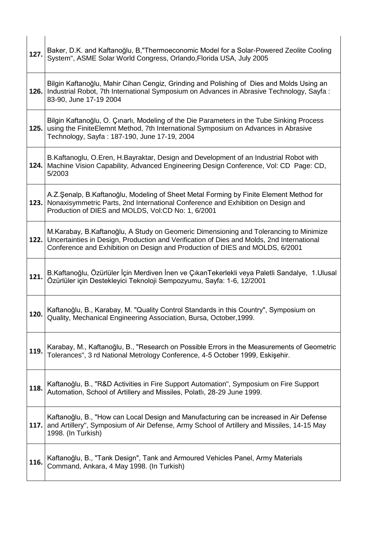| 127. | Baker, D.K. and Kaftanoğlu, B,"Thermoeconomic Model for a Solar-Powered Zeolite Cooling<br>System", ASME Solar World Congress, Orlando, Florida USA, July 2005                                                                                                     |
|------|--------------------------------------------------------------------------------------------------------------------------------------------------------------------------------------------------------------------------------------------------------------------|
| 126. | Bilgin Kaftanoğlu, Mahir Cihan Cengiz, Grinding and Polishing of Dies and Molds Using an<br>Industrial Robot, 7th International Symposium on Advances in Abrasive Technology, Sayfa:<br>83-90, June 17-19 2004                                                     |
| 125. | Bilgin Kaftanoğlu, O. Çınarlı, Modeling of the Die Parameters in the Tube Sinking Process<br>using the FiniteElemnt Method, 7th International Symposium on Advances in Abrasive<br>Technology, Sayfa: 187-190, June 17-19, 2004                                    |
| 124. | B.Kaftanoglu, O.Eren, H.Bayraktar, Design and Development of an Industrial Robot with<br>Machine Vision Capability, Advanced Engineering Design Conference, Vol: CD Page: CD,<br>5/2003                                                                            |
| 123. | A.Z.Şenalp, B.Kaftanoğlu, Modeling of Sheet Metal Forming by Finite Element Method for<br>Nonaxisymmetric Parts, 2nd International Conference and Exhibition on Design and<br>Production of DIES and MOLDS, Vol:CD No: 1, 6/2001                                   |
| 122. | M.Karabay, B.Kaftanoğlu, A Study on Geomeric Dimensioning and Tolerancing to Minimize<br>Uncertainties in Design, Production and Verification of Dies and Molds, 2nd International<br>Conference and Exhibition on Design and Production of DIES and MOLDS, 6/2001 |
| 121. | B.Kaftanoğlu, Özürlüler İçin Merdiven İnen ve ÇıkanTekerlekli veya Paletli Sandalye, 1.Ulusal<br>Özürlüler için Destekleyici Teknoloji Sempozyumu, Sayfa: 1-6, 12/2001                                                                                             |
| 120. | Kaftanoğlu, B., Karabay, M. "Quality Control Standards in this Country", Symposium on<br>Quality, Mechanical Engineering Association, Bursa, October, 1999.                                                                                                        |
| 119. | Karabay, M., Kaftanoğlu, B., "Research on Possible Errors in the Measurements of Geometric<br>Tolerances", 3 rd National Metrology Conference, 4-5 October 1999, Eskisehir.                                                                                        |
| 118. | Kaftanoğlu, B., "R&D Activities in Fire Support Automation", Symposium on Fire Support<br>Automation, School of Artillery and Missiles, Polatlı, 28-29 June 1999.                                                                                                  |
| 117. | Kaftanoğlu, B., "How can Local Design and Manufacturing can be increased in Air Defense<br>and Artillery", Symposium of Air Defense, Army School of Artillery and Missiles, 14-15 May<br>1998. (In Turkish)                                                        |
| 116. | Kaftanoğlu, B., "Tank Design", Tank and Armoured Vehicles Panel, Army Materials<br>Command, Ankara, 4 May 1998. (In Turkish)                                                                                                                                       |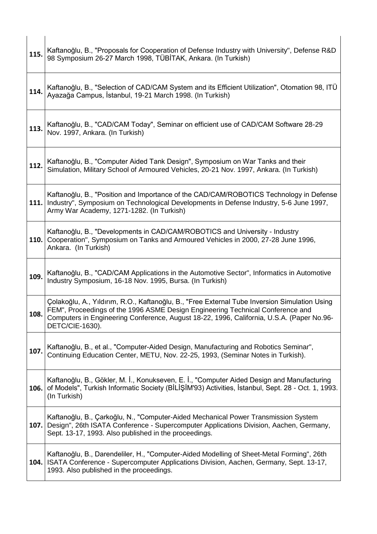| 115. | Kaftanoğlu, B., "Proposals for Cooperation of Defense Industry with University", Defense R&D<br>98 Symposium 26-27 March 1998, TÜBİTAK, Ankara. (In Turkish)                                                                                                                                    |
|------|-------------------------------------------------------------------------------------------------------------------------------------------------------------------------------------------------------------------------------------------------------------------------------------------------|
| 114. | Kaftanoğlu, B., "Selection of CAD/CAM System and its Efficient Utilization", Otomation 98, ITÜ<br>Ayazağa Campus, İstanbul, 19-21 March 1998. (In Turkish)                                                                                                                                      |
| 113. | Kaftanoğlu, B., "CAD/CAM Today", Seminar on efficient use of CAD/CAM Software 28-29<br>Nov. 1997, Ankara. (In Turkish)                                                                                                                                                                          |
| 112. | Kaftanoğlu, B., "Computer Aided Tank Design", Symposium on War Tanks and their<br>Simulation, Military School of Armoured Vehicles, 20-21 Nov. 1997, Ankara. (In Turkish)                                                                                                                       |
| 111. | Kaftanoğlu, B., "Position and Importance of the CAD/CAM/ROBOTICS Technology in Defense<br>Industry", Symposium on Technological Developments in Defense Industry, 5-6 June 1997,<br>Army War Academy, 1271-1282. (In Turkish)                                                                   |
| 110. | Kaftanoğlu, B., "Developments in CAD/CAM/ROBOTICS and University - Industry<br>Cooperation", Symposium on Tanks and Armoured Vehicles in 2000, 27-28 June 1996,<br>Ankara. (In Turkish)                                                                                                         |
| 109. | Kaftanoğlu, B., "CAD/CAM Applications in the Automotive Sector", Informatics in Automotive<br>Industry Symposium, 16-18 Nov. 1995, Bursa. (In Turkish)                                                                                                                                          |
| 108  | Çolakoğlu, A., Yıldırım, R.O., Kaftanoğlu, B., "Free External Tube Inversion Simulation Using<br>FEM", Proceedings of the 1996 ASME Design Engineering Technical Conference and<br>Computers in Engineering Conference, August 18-22, 1996, California, U.S.A. (Paper No.96-<br>DETC/CIE-1630). |
| 107. | Kaftanoğlu, B., et al., "Computer-Aided Design, Manufacturing and Robotics Seminar",<br>Continuing Education Center, METU, Nov. 22-25, 1993, (Seminar Notes in Turkish).                                                                                                                        |
| 106. | Kaftanoğlu, B., Gökler, M. İ., Konukseven, E. İ., "Computer Aided Design and Manufacturing<br>of Models", Turkish Informatic Society (BİLİŞİM'93) Activities, İstanbul, Sept. 28 - Oct. 1, 1993.<br>(In Turkish)                                                                                |
| 107. | Kaftanoğlu, B., Çarkoğlu, N., "Computer-Aided Mechanical Power Transmission System<br>Design", 26th ISATA Conference - Supercomputer Applications Division, Aachen, Germany,<br>Sept. 13-17, 1993. Also published in the proceedings.                                                           |
| 104. | Kaftanoğlu, B., Darendeliler, H., "Computer-Aided Modelling of Sheet-Metal Forming", 26th<br>ISATA Conference - Supercomputer Applications Division, Aachen, Germany, Sept. 13-17,<br>1993. Also published in the proceedings.                                                                  |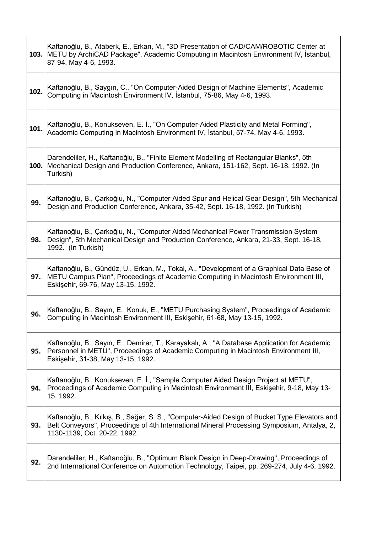|      | Kaftanoğlu, B., Ataberk, E., Erkan, M., "3D Presentation of CAD/CAM/ROBOTIC Center at<br>103. METU by ArchiCAD Package", Academic Computing in Macintosh Environment IV, Istanbul,<br>87-94, May 4-6, 1993.                  |
|------|------------------------------------------------------------------------------------------------------------------------------------------------------------------------------------------------------------------------------|
| 102. | Kaftanoğlu, B., Saygın, C., "On Computer-Aided Design of Machine Elements", Academic<br>Computing in Macintosh Environment IV, İstanbul, 75-86, May 4-6, 1993.                                                               |
| 101. | Kaftanoğlu, B., Konukseven, E. İ., "On Computer-Aided Plasticity and Metal Forming",<br>Academic Computing in Macintosh Environment IV, İstanbul, 57-74, May 4-6, 1993.                                                      |
| 100. | Darendeliler, H., Kaftanoğlu, B., "Finite Element Modelling of Rectangular Blanks", 5th<br>Mechanical Design and Production Conference, Ankara, 151-162, Sept. 16-18, 1992. (In<br>Turkish)                                  |
| 99.  | Kaftanoğlu, B., Çarkoğlu, N., "Computer Aided Spur and Helical Gear Design", 5th Mechanical<br>Design and Production Conference, Ankara, 35-42, Sept. 16-18, 1992. (In Turkish)                                              |
| 98.  | Kaftanoğlu, B., Çarkoğlu, N., "Computer Aided Mechanical Power Transmission System<br>Design", 5th Mechanical Design and Production Conference, Ankara, 21-33, Sept. 16-18,<br>1992. (In Turkish)                            |
| 97.  | Kaftanoğlu, B., Gündüz, U., Erkan, M., Tokal, A., "Development of a Graphical Data Base of<br>METU Campus Plan", Proceedings of Academic Computing in Macintosh Environment III,<br>Eskişehir, 69-76, May 13-15, 1992.       |
| 96.  | Kaftanoğlu, B., Sayın, E., Konuk, E., "METU Purchasing System", Proceedings of Academic<br>Computing in Macintosh Environment III, Eskişehir, 61-68, May 13-15, 1992.                                                        |
| 95.  | Kaftanoğlu, B., Sayın, E., Demirer, T., Karayakalı, A., "A Database Application for Academic<br>Personnel in METU", Proceedings of Academic Computing in Macintosh Environment III,<br>Eskişehir, 31-38, May 13-15, 1992.    |
| 94.  | Kaftanoğlu, B., Konukseven, E. İ., "Sample Computer Aided Design Project at METU",<br>Proceedings of Academic Computing in Macintosh Environment III, Eskişehir, 9-18, May 13-<br>15, 1992.                                  |
| 93.  | Kaftanoğlu, B., Kılkış, B., Sağer, S. S., "Computer-Aided Design of Bucket Type Elevators and<br>Belt Conveyors", Proceedings of 4th International Mineral Processing Symposium, Antalya, 2,<br>1130-1139, Oct. 20-22, 1992. |
| 92.  | Darendeliler, H., Kaftanoğlu, B., "Optimum Blank Design in Deep-Drawing", Proceedings of<br>2nd International Conference on Automotion Technology, Taipei, pp. 269-274, July 4-6, 1992.                                      |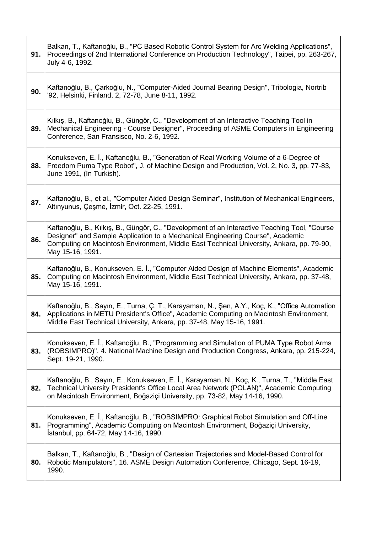| 91. | Balkan, T., Kaftanoğlu, B., "PC Based Robotic Control System for Arc Welding Applications",<br>Proceedings of 2nd International Conference on Production Technology", Taipei, pp. 263-267,<br>July 4-6, 1992.                                                                                   |
|-----|-------------------------------------------------------------------------------------------------------------------------------------------------------------------------------------------------------------------------------------------------------------------------------------------------|
| 90. | Kaftanoğlu, B., Çarkoğlu, N., "Computer-Aided Journal Bearing Design", Tribologia, Nortrib<br>'92, Helsinki, Finland, 2, 72-78, June 8-11, 1992.                                                                                                                                                |
| 89. | Kilkiş, B., Kaftanoğlu, B., Güngör, C., "Development of an Interactive Teaching Tool in<br>Mechanical Engineering - Course Designer", Proceeding of ASME Computers in Engineering<br>Conference, San Fransisco, No. 2-6, 1992.                                                                  |
| 88. | Konukseven, E. İ., Kaftanoğlu, B., "Generation of Real Working Volume of a 6-Degree of<br>Freedom Puma Type Robot", J. of Machine Design and Production, Vol. 2, No. 3, pp. 77-83,<br>June 1991, (In Turkish).                                                                                  |
| 87. | Kaftanoğlu, B., et al., "Computer Aided Design Seminar", Institution of Mechanical Engineers,<br>Altınyunus, Çeşme, İzmir, Oct. 22-25, 1991.                                                                                                                                                    |
| 86. | Kaftanoğlu, B., Kılkış, B., Güngör, C., "Development of an Interactive Teaching Tool, "Course<br>Designer" and Sample Application to a Mechanical Engineering Course", Academic<br>Computing on Macintosh Environment, Middle East Technical University, Ankara, pp. 79-90,<br>May 15-16, 1991. |
| 85. | Kaftanoğlu, B., Konukseven, E. İ., "Computer Aided Design of Machine Elements", Academic<br>Computing on Macintosh Environment, Middle East Technical University, Ankara, pp. 37-48,<br>May 15-16, 1991.                                                                                        |
|     | Kaftanoğlu, B., Sayın, E., Turna, Ç. T., Karayaman, N., Şen, A.Y., Koç, K., "Office Automation<br>84. Applications in METU President's Office", Academic Computing on Macintosh Environment,<br>Middle East Technical University, Ankara, pp. 37-48, May 15-16, 1991.                           |
| 83. | Konukseven, E. İ., Kaftanoğlu, B., "Programming and Simulation of PUMA Type Robot Arms<br>(ROBSIMPRO)", 4. National Machine Design and Production Congress, Ankara, pp. 215-224,<br>Sept. 19-21, 1990.                                                                                          |
| 82. | Kaftanoğlu, B., Sayın, E., Konukseven, E. İ., Karayaman, N., Koç, K., Turna, T., "Middle East<br>Technical University President's Office Local Area Network (POLAN)", Academic Computing<br>on Macintosh Environment, Boğaziçi University, pp. 73-82, May 14-16, 1990.                          |
| 81. | Konukseven, E. İ., Kaftanoğlu, B., "ROBSIMPRO: Graphical Robot Simulation and Off-Line<br>Programming", Academic Computing on Macintosh Environment, Boğaziçi University,<br>Istanbul, pp. 64-72, May 14-16, 1990.                                                                              |
| 80. | Balkan, T., Kaftanoğlu, B., "Design of Cartesian Trajectories and Model-Based Control for<br>Robotic Manipulators", 16. ASME Design Automation Conference, Chicago, Sept. 16-19,<br>1990.                                                                                                       |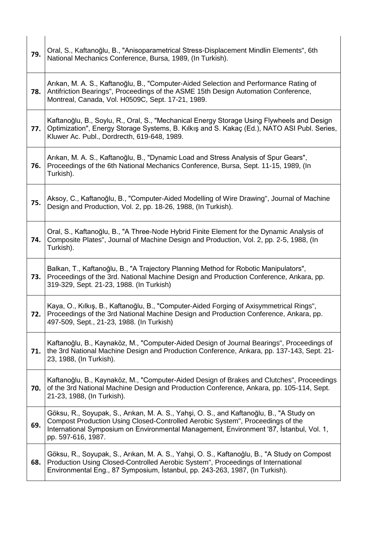| 79. | Oral, S., Kaftanoğlu, B., "Anisoparametrical Stress-Displacement Mindlin Elements", 6th<br>National Mechanics Conference, Bursa, 1989, (In Turkish).                                                                                                                                       |
|-----|--------------------------------------------------------------------------------------------------------------------------------------------------------------------------------------------------------------------------------------------------------------------------------------------|
| 78. | Arıkan, M. A. S., Kaftanoğlu, B., "Computer-Aided Selection and Performance Rating of<br>Antifriction Bearings", Proceedings of the ASME 15th Design Automation Conference,<br>Montreal, Canada, Vol. H0509C, Sept. 17-21, 1989.                                                           |
| 77. | Kaftanoğlu, B., Soylu, R., Oral, S., "Mechanical Energy Storage Using Flywheels and Design<br>Optimization", Energy Storage Systems, B. Kilkiş and S. Kakaç (Ed.), NATO ASI Publ. Series,<br>Kluwer Ac. Publ., Dordrecth, 619-648, 1989.                                                   |
| 76. | Arikan, M. A. S., Kaftanoğlu, B., "Dynamic Load and Stress Analysis of Spur Gears",<br>Proceedings of the 6th National Mechanics Conference, Bursa, Sept. 11-15, 1989, (In<br>Turkish).                                                                                                    |
| 75. | Aksoy, C., Kaftanoğlu, B., "Computer-Aided Modelling of Wire Drawing", Journal of Machine<br>Design and Production, Vol. 2, pp. 18-26, 1988, (In Turkish).                                                                                                                                 |
| 74. | Oral, S., Kaftanoğlu, B., "A Three-Node Hybrid Finite Element for the Dynamic Analysis of<br>Composite Plates", Journal of Machine Design and Production, Vol. 2, pp. 2-5, 1988, (In<br>Turkish).                                                                                          |
| 73. | Balkan, T., Kaftanoğlu, B., "A Trajectory Planning Method for Robotic Manipulators",<br>Proceedings of the 3rd. National Machine Design and Production Conference, Ankara, pp.<br>319-329, Sept. 21-23, 1988. (In Turkish)                                                                 |
| 72. | Kaya, O., Kılkış, B., Kaftanoğlu, B., "Computer-Aided Forging of Axisymmetrical Rings",<br>Proceedings of the 3rd National Machine Design and Production Conference, Ankara, pp.<br>497-509, Sept., 21-23, 1988. (In Turkish)                                                              |
| 71. | Kaftanoğlu, B., Kaynaköz, M., "Computer-Aided Design of Journal Bearings", Proceedings of<br>the 3rd National Machine Design and Production Conference, Ankara, pp. 137-143, Sept. 21-<br>23, 1988, (In Turkish).                                                                          |
| 70. | Kaftanoğlu, B., Kaynaköz, M., "Computer-Aided Design of Brakes and Clutches", Proceedings<br>of the 3rd National Machine Design and Production Conference, Ankara, pp. 105-114, Sept.<br>21-23, 1988, (In Turkish).                                                                        |
| 69. | Göksu, R., Soyupak, S., Arikan, M. A. S., Yahşi, O. S., and Kaftanoğlu, B., "A Study on<br>Compost Production Using Closed-Controlled Aerobic System", Proceedings of the<br>International Symposium on Environmental Management, Environment '87, İstanbul, Vol. 1,<br>pp. 597-616, 1987. |
| 68. | Göksu, R., Soyupak, S., Arıkan, M. A. S., Yahşi, O. S., Kaftanoğlu, B., "A Study on Compost<br>Production Using Closed-Controlled Aerobic System", Proceedings of International<br>Environmental Eng., 87 Symposium, İstanbul, pp. 243-263, 1987, (In Turkish).                            |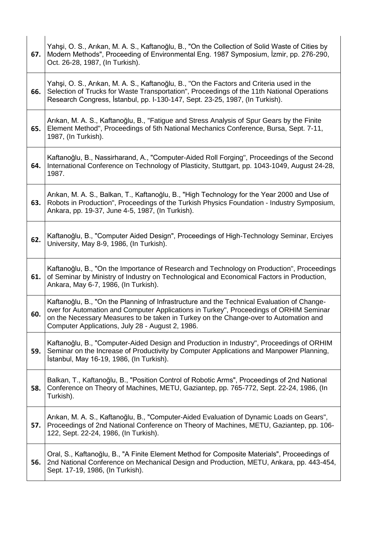| 67. | Yahşi, O. S., Arıkan, M. A. S., Kaftanoğlu, B., "On the Collection of Solid Waste of Cities by<br>Modern Methods", Proceeding of Environmental Eng. 1987 Symposium, Izmir, pp. 276-290,<br>Oct. 26-28, 1987, (In Turkish).                                                                                                       |
|-----|----------------------------------------------------------------------------------------------------------------------------------------------------------------------------------------------------------------------------------------------------------------------------------------------------------------------------------|
| 66. | Yahşi, O. S., Arıkan, M. A. S., Kaftanoğlu, B., "On the Factors and Criteria used in the<br>Selection of Trucks for Waste Transportation", Proceedings of the 11th National Operations<br>Research Congress, İstanbul, pp. I-130-147, Sept. 23-25, 1987, (In Turkish).                                                           |
| 65. | Arikan, M. A. S., Kaftanoğlu, B., "Fatigue and Stress Analysis of Spur Gears by the Finite<br>Element Method", Proceedings of 5th National Mechanics Conference, Bursa, Sept. 7-11,<br>1987, (In Turkish).                                                                                                                       |
| 64. | Kaftanoğlu, B., Nassirharand, A., "Computer-Aided Roll Forging", Proceedings of the Second<br>International Conference on Technology of Plasticity, Stuttgart, pp. 1043-1049, August 24-28,<br>1987.                                                                                                                             |
| 63. | Arıkan, M. A. S., Balkan, T., Kaftanoğlu, B., "High Technology for the Year 2000 and Use of<br>Robots in Production", Proceedings of the Turkish Physics Foundation - Industry Symposium,<br>Ankara, pp. 19-37, June 4-5, 1987, (In Turkish).                                                                                    |
| 62. | Kaftanoğlu, B., "Computer Aided Design", Proceedings of High-Technology Seminar, Erciyes<br>University, May 8-9, 1986, (In Turkish).                                                                                                                                                                                             |
| 61. | Kaftanoğlu, B., "On the Importance of Research and Technology on Production", Proceedings<br>of Seminar by Ministry of Industry on Technological and Economical Factors in Production,<br>Ankara, May 6-7, 1986, (In Turkish).                                                                                                   |
| 60. | Kaftanoğlu, B., "On the Planning of Infrastructure and the Technical Evaluation of Change-<br>over for Automation and Computer Applications in Turkey", Proceedings of ORHIM Seminar<br>on the Necessary Measures to be taken in Turkey on the Change-over to Automation and<br>Computer Applications, July 28 - August 2, 1986. |
| 59. | Kaftanoğlu, B., "Computer-Aided Design and Production in Industry", Proceedings of ORHIM<br>Seminar on the Increase of Productivity by Computer Applications and Manpower Planning,<br>İstanbul, May 16-19, 1986, (In Turkish).                                                                                                  |
| 58. | Balkan, T., Kaftanoğlu, B., "Position Control of Robotic Arms", Proceedings of 2nd National<br>Conference on Theory of Machines, METU, Gaziantep, pp. 765-772, Sept. 22-24, 1986, (In<br>Turkish).                                                                                                                               |
| 57. | Arikan, M. A. S., Kaftanoğlu, B., "Computer-Aided Evaluation of Dynamic Loads on Gears",<br>Proceedings of 2nd National Conference on Theory of Machines, METU, Gaziantep, pp. 106-<br>122, Sept. 22-24, 1986, (In Turkish).                                                                                                     |
| 56. | Oral, S., Kaftanoğlu, B., "A Finite Element Method for Composite Materials", Proceedings of<br>2nd National Conference on Mechanical Design and Production, METU, Ankara, pp. 443-454,<br>Sept. 17-19, 1986, (In Turkish).                                                                                                       |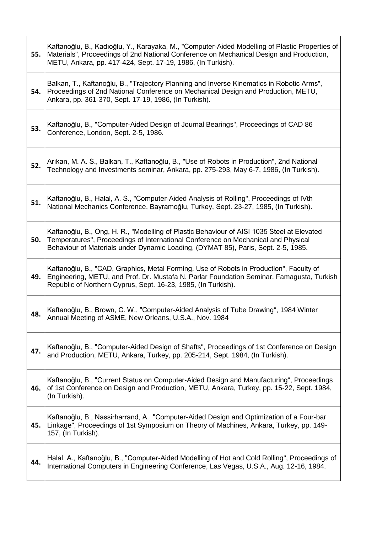| 55. | Kaftanoğlu, B., Kadıoğlu, Y., Karayaka, M., "Computer-Aided Modelling of Plastic Properties of<br>Materials", Proceedings of 2nd National Conference on Mechanical Design and Production,<br>METU, Ankara, pp. 417-424, Sept. 17-19, 1986, (In Turkish).             |
|-----|----------------------------------------------------------------------------------------------------------------------------------------------------------------------------------------------------------------------------------------------------------------------|
| 54. | Balkan, T., Kaftanoğlu, B., "Trajectory Planning and Inverse Kinematics in Robotic Arms",<br>Proceedings of 2nd National Conference on Mechanical Design and Production, METU,<br>Ankara, pp. 361-370, Sept. 17-19, 1986, (In Turkish).                              |
| 53. | Kaftanoğlu, B., "Computer-Aided Design of Journal Bearings", Proceedings of CAD 86<br>Conference, London, Sept. 2-5, 1986.                                                                                                                                           |
| 52. | Arikan, M. A. S., Balkan, T., Kaftanoğlu, B., "Use of Robots in Production", 2nd National<br>Technology and Investments seminar, Ankara, pp. 275-293, May 6-7, 1986, (In Turkish).                                                                                   |
| 51. | Kaftanoğlu, B., Halal, A. S., "Computer-Aided Analysis of Rolling", Proceedings of IVth<br>National Mechanics Conference, Bayramoğlu, Turkey, Sept. 23-27, 1985, (In Turkish).                                                                                       |
| 50. | Kaftanoğlu, B., Ong, H. R., "Modelling of Plastic Behaviour of AISI 1035 Steel at Elevated<br>Temperatures", Proceedings of International Conference on Mechanical and Physical<br>Behaviour of Materials under Dynamic Loading, (DYMAT 85), Paris, Sept. 2-5, 1985. |
| 49. | Kaftanoğlu, B., "CAD, Graphics, Metal Forming, Use of Robots in Production", Faculty of<br>Engineering, METU, and Prof. Dr. Mustafa N. Parlar Foundation Seminar, Famagusta, Turkish<br>Republic of Northern Cyprus, Sept. 16-23, 1985, (In Turkish).                |
| 48. | Kaftanoğlu, B., Brown, C. W., "Computer-Aided Analysis of Tube Drawing", 1984 Winter<br>Annual Meeting of ASME, New Orleans, U.S.A., Nov. 1984                                                                                                                       |
| 47. | Kaftanoğlu, B., "Computer-Aided Design of Shafts", Proceedings of 1st Conference on Design<br>and Production, METU, Ankara, Turkey, pp. 205-214, Sept. 1984, (In Turkish).                                                                                           |
| 46. | Kaftanoğlu, B., "Current Status on Computer-Aided Design and Manufacturing", Proceedings<br>of 1st Conference on Design and Production, METU, Ankara, Turkey, pp. 15-22, Sept. 1984,<br>(In Turkish).                                                                |
| 45. | Kaftanoğlu, B., Nassirharrand, A., "Computer-Aided Design and Optimization of a Four-bar<br>Linkage", Proceedings of 1st Symposium on Theory of Machines, Ankara, Turkey, pp. 149-<br>157, (In Turkish).                                                             |
| 44. | Halal, A., Kaftanoğlu, B., "Computer-Aided Modelling of Hot and Cold Rolling", Proceedings of<br>International Computers in Engineering Conference, Las Vegas, U.S.A., Aug. 12-16, 1984.                                                                             |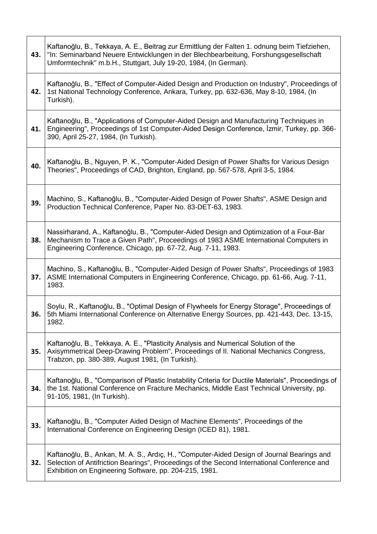| 43. | Kaftanoğlu, B., Tekkaya, A. E., Beitrag zur Ermittlung der Falten 1. odnung beim Tiefziehen,<br>"In: Seminarband Neuere Entwicklungen in der Blechbearbeitung, Forshungsgesellschaft<br>Umformtechnik" m.b.H., Stuttgart, July 19-20, 1984, (In German). |
|-----|----------------------------------------------------------------------------------------------------------------------------------------------------------------------------------------------------------------------------------------------------------|
| 42. | Kaftanoğlu, B., "Effect of Computer-Aided Design and Production on Industry", Proceedings of<br>1st National Technology Conference, Ankara, Turkey, pp. 632-636, May 8-10, 1984, (In<br>Turkish).                                                        |
| 41. | Kaftanoğlu, B., "Applications of Computer-Aided Design and Manufacturing Techniques in<br>Engineering", Proceedings of 1st Computer-Aided Design Conference, Izmir, Turkey, pp. 366-<br>390, April 25-27, 1984, (In Turkish).                            |
| 40. | Kaftanoğlu, B., Nguyen, P. K., "Computer-Aided Design of Power Shafts for Various Design<br>Theories", Proceedings of CAD, Brighton, England, pp. 567-578, April 3-5, 1984.                                                                              |
| 39. | Machino, S., Kaftanoğlu, B., "Computer-Aided Design of Power Shafts", ASME Design and<br>Production Technical Conference, Paper No. 83-DET-63, 1983.                                                                                                     |
| 38. | Nassirharand, A., Kaftanoğlu, B., "Computer-Aided Design and Optimization of a Four-Bar<br>Mechanism to Trace a Given Path", Proceedings of 1983 ASME International Computers in<br>Engineering Conference, Chicago, pp. 67-72, Aug. 7-11, 1983.         |
| 37. | Machino, S., Kaftanoğlu, B., "Computer-Aided Design of Power Shafts", Proceedings of 1983<br>ASME International Computers in Engineering Conference, Chicago, pp. 61-66, Aug. 7-11,<br>1983.                                                             |
| 36. | Soylu, R., Kaftanoğlu, B., "Optimal Design of Flywheels for Energy Storage", Proceedings of<br>5th Miami International Conference on Alternative Energy Sources, pp. 421-443, Dec. 13-15,<br>1982.                                                       |
| 35. | Kaftanoğlu, B., Tekkaya, A. E., "Plasticity Analysis and Numerical Solution of the<br>Axisymmetrical Deep-Drawing Problem", Proceedings of II. National Mechanics Congress,<br>Trabzon, pp. 380-389, August 1981, (In Turkish).                          |
| 34. | Kaftanoğlu, B., "Comparison of Plastic Instability Criteria for Ductile Materials", Proceedings of<br>the 1st. National Conference on Fracture Mechanics, Middle East Technical University, pp.<br>91-105, 1981, (In Turkish).                           |
| 33. | Kaftanoğlu, B., "Computer Aided Design of Machine Elements", Proceedings of the<br>International Conference on Engineering Design (ICED 81), 1981.                                                                                                       |
| 32. | Kaftanoğlu, B., Arıkan, M. A. S., Ardıç, H., "Computer-Aided Design of Journal Bearings and<br>Selection of Antifriction Bearings", Proceedings of the Second International Conference and<br>Exhibition on Engineering Software, pp. 204-215, 1981.     |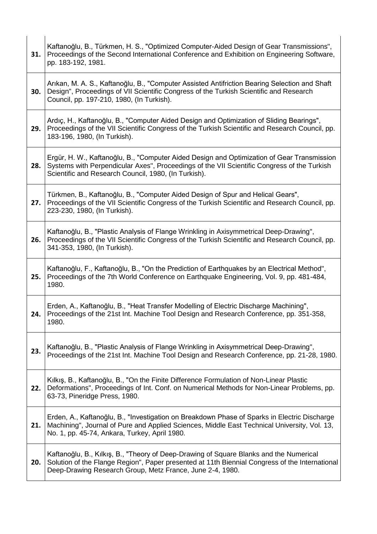| 31. | Kaftanoğlu, B., Türkmen, H. S., "Optimized Computer-Aided Design of Gear Transmissions",<br>Proceedings of the Second International Conference and Exhibition on Engineering Software,<br>pp. 183-192, 1981.                                          |
|-----|-------------------------------------------------------------------------------------------------------------------------------------------------------------------------------------------------------------------------------------------------------|
| 30. | Arikan, M. A. S., Kaftanoğlu, B., "Computer Assisted Antifriction Bearing Selection and Shaft<br>Design", Proceedings of VII Scientific Congress of the Turkish Scientific and Research<br>Council, pp. 197-210, 1980, (In Turkish).                  |
| 29. | Ardiç, H., Kaftanoğlu, B., "Computer Aided Design and Optimization of Sliding Bearings",<br>Proceedings of the VII Scientific Congress of the Turkish Scientific and Research Council, pp.<br>183-196, 1980, (In Turkish).                            |
| 28. | Ergür, H. W., Kaftanoğlu, B., "Computer Aided Design and Optimization of Gear Transmission<br>Systems with Perpendicular Axes", Proceedings of the VII Scientific Congress of the Turkish<br>Scientific and Research Council, 1980, (In Turkish).     |
| 27. | Türkmen, B., Kaftanoğlu, B., "Computer Aided Design of Spur and Helical Gears",<br>Proceedings of the VII Scientific Congress of the Turkish Scientific and Research Council, pp.<br>223-230, 1980, (In Turkish).                                     |
| 26. | Kaftanoğlu, B., "Plastic Analysis of Flange Wrinkling in Axisymmetrical Deep-Drawing",<br>Proceedings of the VII Scientific Congress of the Turkish Scientific and Research Council, pp.<br>341-353, 1980, (In Turkish).                              |
| 25. | Kaftanoğlu, F., Kaftanoğlu, B., "On the Prediction of Earthquakes by an Electrical Method",<br>Proceedings of the 7th World Conference on Earthquake Engineering, Vol. 9, pp. 481-484,<br>1980.                                                       |
|     | Erden, A., Kaftanoğlu, B., "Heat Transfer Modelling of Electric Discharge Machining",<br>24.   Proceedings of the 21st Int. Machine Tool Design and Research Conference, pp. 351-358,<br>1980.                                                        |
| 23. | Kaftanoğlu, B., "Plastic Analysis of Flange Wrinkling in Axisymmetrical Deep-Drawing",<br>Proceedings of the 21st Int. Machine Tool Design and Research Conference, pp. 21-28, 1980.                                                                  |
| 22. | Kilkiş, B., Kaftanoğlu, B., "On the Finite Difference Formulation of Non-Linear Plastic<br>Deformations", Proceedings of Int. Conf. on Numerical Methods for Non-Linear Problems, pp.<br>63-73, Pineridge Press, 1980.                                |
| 21. | Erden, A., Kaftanoğlu, B., "Investigation on Breakdown Phase of Sparks in Electric Discharge<br>Machining", Journal of Pure and Applied Sciences, Middle East Technical University, Vol. 13,<br>No. 1, pp. 45-74, Ankara, Turkey, April 1980.         |
| 20. | Kaftanoğlu, B., Kılkış, B., "Theory of Deep-Drawing of Square Blanks and the Numerical<br>Solution of the Flange Region", Paper presented at 11th Biennial Congress of the International<br>Deep-Drawing Research Group, Metz France, June 2-4, 1980. |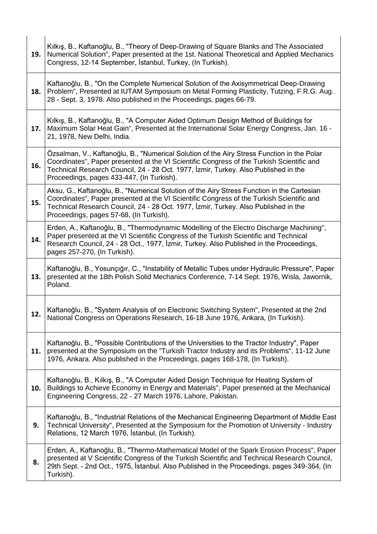| 19. | Kilkiş, B., Kaftanoğlu, B., "Theory of Deep-Drawing of Square Blanks and The Associated<br>Numerical Solution", Paper presented at the 1st. National Theoretical and Applied Mechanics<br>Congress, 12-14 September, İstanbul, Turkey, (In Turkish).                                                                        |
|-----|-----------------------------------------------------------------------------------------------------------------------------------------------------------------------------------------------------------------------------------------------------------------------------------------------------------------------------|
| 18. | Kaftanoğlu, B., "On the Complete Numerical Solution of the Axisymmetrical Deep-Drawing<br>Problem", Presented at IUTAM Symposium on Metal Forming Plasticity, Tutzing, F.R.G. Aug.<br>28 - Sept. 3, 1978. Also published in the Proceedings, pages 66-79.                                                                   |
| 17. | Kilkiş, B., Kaftanoğlu, B., "A Computer Aided Optimum Design Method of Buildings for<br>Maximum Solar Heat Gain", Presented at the International Solar Energy Congress, Jan. 16 -<br>21, 1978, New Delhi, India.                                                                                                            |
| 16. | Özsalman, V., Kaftanoğlu, B., "Numerical Solution of the Airy Stress Function in the Polar<br>Coordinates", Paper presented at the VI Scientific Congress of the Turkish Scientific and<br>Technical Research Council, 24 - 28 Oct. 1977, İzmir, Turkey. Also Published in the<br>Proceedings, pages 433-447, (In Turkish). |
| 15. | Aksu, G., Kaftanoğlu, B., "Numerical Solution of the Airy Stress Function in the Cartesian<br>Coordinates", Paper presented at the VI Scientific Congress of the Turkish Scientific and<br>Technical Research Council, 24 - 28 Oct. 1977, İzmir, Turkey. Also Published in the<br>Proceedings, pages 57-68, (In Turkish).   |
| 14. | Erden, A., Kaftanoğlu, B., "Thermodynamic Modelling of the Electro Discharge Machining",<br>Paper presented at the VI Scientific Congress of the Turkish Scientific and Technical<br>Research Council, 24 - 28 Oct., 1977, İzmir, Turkey. Also Published in the Proceedings,<br>pages 257-270, (In Turkish).                |
| 13. | Kaftanoğlu, B., Yosunçığır, C., "Instability of Metallic Tubes under Hydraulic Pressure", Paper<br>presented at the 18th Polish Solid Mechanics Conference, 7-14 Sept. 1976, Wisla, Jawornik,<br>Poland.                                                                                                                    |
| 12. | Kaftanoğlu, B., "System Analysis of on Electronic Switching System", Presented at the 2nd<br>National Congress on Operations Research, 16-18 June 1976, Ankara, (In Turkish).                                                                                                                                               |
| 11. | Kaftanoğlu, B., "Possible Contributions of the Universities to the Tractor Industry", Paper<br>presented at the Symposium on the "Turkish Tractor Industry and its Problems", 11-12 June<br>1976, Ankara. Also published in the Proceedings, pages 168-178, (In Turkish).                                                   |
| 10. | Kaftanoğlu, B., Kılkış, B., "A Computer Aided Design Technique for Heating System of<br>Buildings to Achieve Economy in Energy and Materials", Paper presented at the Mechanical<br>Engineering Congress, 22 - 27 March 1976, Lahore, Pakistan.                                                                             |
| 9.  | Kaftanoğlu, B., "Industrial Relations of the Mechanical Engineering Department of Middle East<br>Technical University", Presented at the Symposium for the Promotion of University - Industry<br>Relations, 12 March 1976, İstanbul, (In Turkish).                                                                          |
| 8.  | Erden, A., Kaftanoğlu, B., "Thermo-Mathematical Model of the Spark Erosion Process", Paper<br>presented at V Scientific Congress of the Turkish Scientific and Technical Research Council,<br>29th Sept. - 2nd Oct., 1975, Istanbul. Also Published in the Proceedings, pages 349-364, (In<br>Turkish).                     |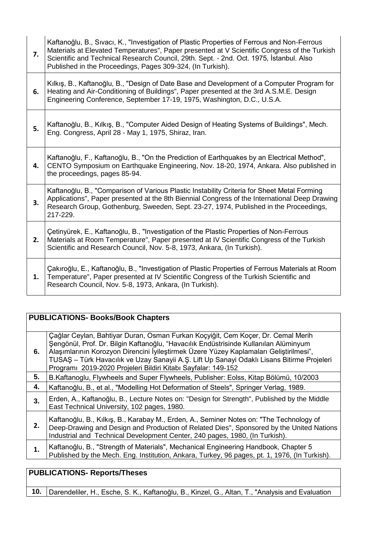| 7. | Kaftanoğlu, B., Sıvacı, K., "Investigation of Plastic Properties of Ferrous and Non-Ferrous<br>Materials at Elevated Temperatures", Paper presented at V Scientific Congress of the Turkish<br>Scientific and Technical Research Council, 29th. Sept. - 2nd. Oct. 1975, İstanbul. Also<br>Published in the Proceedings, Pages 309-324, (In Turkish). |
|----|------------------------------------------------------------------------------------------------------------------------------------------------------------------------------------------------------------------------------------------------------------------------------------------------------------------------------------------------------|
| 6. | Kilkiş, B., Kaftanoğlu, B., "Design of Date Base and Development of a Computer Program for<br>Heating and Air-Conditioning of Buildings", Paper presented at the 3rd A.S.M.E. Design<br>Engineering Conference, September 17-19, 1975, Washington, D.C., U.S.A.                                                                                      |
| 5. | Kaftanoğlu, B., Kılkış, B., "Computer Aided Design of Heating Systems of Buildings", Mech.<br>Eng. Congress, April 28 - May 1, 1975, Shiraz, Iran.                                                                                                                                                                                                   |
| 4. | Kaftanoğlu, F., Kaftanoğlu, B., "On the Prediction of Earthquakes by an Electrical Method",<br>CENTO Symposium on Earthquake Engineering, Nov. 18-20, 1974, Ankara. Also published in<br>the proceedings, pages 85-94.                                                                                                                               |
| 3. | Kaftanoğlu, B., "Comparison of Various Plastic Instability Criteria for Sheet Metal Forming<br>Applications", Paper presented at the 8th Biennial Congress of the International Deep Drawing<br>Research Group, Gothenburg, Sweeden, Sept. 23-27, 1974, Published in the Proceedings,<br>217-229.                                                    |
| 2. | Cetinyürek, E., Kaftanoğlu, B., "Investigation of the Plastic Properties of Non-Ferrous<br>Materials at Room Temperature", Paper presented at IV Scientific Congress of the Turkish<br>Scientific and Research Council, Nov. 5-8, 1973, Ankara, (In Turkish).                                                                                        |
| 1. | Cakıroğlu, E., Kaftanoğlu, B., "Investigation of Plastic Properties of Ferrous Materials at Room<br>Temperature", Paper presented at IV Scientific Congress of the Turkish Scientific and<br>Research Council, Nov. 5-8, 1973, Ankara, (In Turkish).                                                                                                 |

# **PUBLICATIONS- Books/Book Chapters**

| 6. | Çağlar Ceylan, Bahtiyar Duran, Osman Furkan Koçyiğit, Cem Koçer, Dr. Cemal Merih<br>Şengönül, Prof. Dr. Bilgin Kaftanoğlu, "Havacılık Endüstrisinde Kullanılan Alüminyum<br>Alaşımlarının Korozyon Direncini İyileştirmek Üzere Yüzey Kaplamaları Geliştirilmesi",<br>TUSAŞ - Türk Havacılık ve Uzay Sanayii A.Ş. Lift Up Sanayi Odaklı Lisans Bitirme Projeleri<br>Programı 2019-2020 Projeleri Bildiri Kitabı Sayfalar: 149-152 |
|----|-----------------------------------------------------------------------------------------------------------------------------------------------------------------------------------------------------------------------------------------------------------------------------------------------------------------------------------------------------------------------------------------------------------------------------------|
| 5. | B.Kaftanoglu, Flywheels and Super Flywheels, Publisher: Eolss, Kitap Bölümü, 10/2003                                                                                                                                                                                                                                                                                                                                              |
| 4. | Kaftanoğlu, B., et al., "Modelling Hot Deformation of Steels", Springer Verlag, 1989.                                                                                                                                                                                                                                                                                                                                             |
| 3. | Erden, A., Kaftanoğlu, B., Lecture Notes on: "Design for Strength", Published by the Middle<br>East Technical University, 102 pages, 1980.                                                                                                                                                                                                                                                                                        |
| 2. | Kaftanoğlu, B., Kılkış, B., Karabay M., Erden, A., Seminer Notes on: "The Technology of<br>Deep-Drawing and Design and Production of Related Dies", Sponsored by the United Nations<br>Industrial and Technical Development Center, 240 pages, 1980, (In Turkish).                                                                                                                                                                |
| 1. | Kaftanoğlu, B., "Strength of Materials", Mechanical Engineering Handbook, Chapter 5<br>Published by the Mech. Eng. Institution, Ankara, Turkey, 96 pages, pt. 1, 1976, (In Turkish).                                                                                                                                                                                                                                              |

# **PUBLICATIONS- Reports/Theses**

**10.** Darendeliler, H., Esche, S. K., Kaftanoğlu, B., Kinzel, G., Altan, T., "Analysis and Evaluation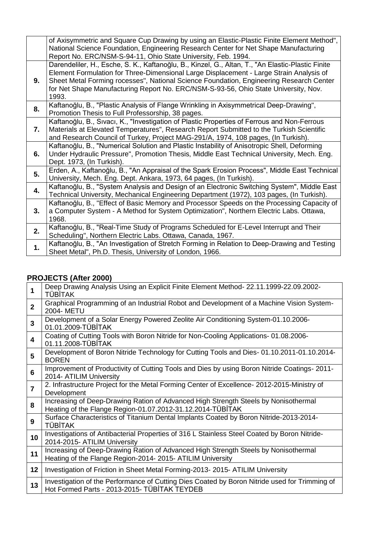|    | of Axisymmetric and Square Cup Drawing by using an Elastic-Plastic Finite Element Method",<br>National Science Foundation, Engineering Research Center for Net Shape Manufacturing<br>Report No. ERC/NSM-S-94-11, Ohio State University, Feb. 1994.                                                                                                                                     |
|----|-----------------------------------------------------------------------------------------------------------------------------------------------------------------------------------------------------------------------------------------------------------------------------------------------------------------------------------------------------------------------------------------|
| 9. | Darendeliler, H., Esche, S. K., Kaftanoğlu, B., Kinzel, G., Altan, T., "An Elastic-Plastic Finite<br>Element Formulation for Three-Dimensional Large Displacement - Large Strain Analysis of<br>Sheet Metal Forming rocesses", National Science Foundation, Engineering Research Center<br>for Net Shape Manufacturing Report No. ERC/NSM-S-93-56, Ohio State University, Nov.<br>1993. |
| 8. | Kaftanoğlu, B., "Plastic Analysis of Flange Wrinkling in Axisymmetrical Deep-Drawing",<br>Promotion Thesis to Full Professorship, 38 pages.                                                                                                                                                                                                                                             |
| 7. | Kaftanoğlu, B., Sıvacı, K., "Investigation of Plastic Properties of Ferrous and Non-Ferrous<br>Materials at Elevated Temperatures", Research Report Submitted to the Turkish Scientific<br>and Research Council of Turkey, Project MAG-291/A, 1974, 108 pages, (In Turkish).                                                                                                            |
| 6. | Kaftanoğlu, B., "Numerical Solution and Plastic Instability of Anisotropic Shell, Deforming<br>Under Hydraulic Pressure", Promotion Thesis, Middle East Technical University, Mech. Eng.<br>Dept. 1973, (In Turkish).                                                                                                                                                                   |
| 5. | Erden, A., Kaftanoğlu, B., "An Appraisal of the Spark Erosion Process", Middle East Technical<br>University, Mech. Eng. Dept. Ankara, 1973, 64 pages, (In Turkish).                                                                                                                                                                                                                     |
| 4. | Kaftanoğlu, B., "System Analysis and Design of an Electronic Switching System", Middle East<br>Technical University, Mechanical Engineering Department (1972), 103 pages, (In Turkish).                                                                                                                                                                                                 |
| 3. | Kaftanoğlu, B., "Effect of Basic Memory and Processor Speeds on the Processing Capacity of<br>a Computer System - A Method for System Optimization", Northern Electric Labs. Ottawa,<br>1968.                                                                                                                                                                                           |
| 2. | Kaftanoğlu, B., "Real-Time Study of Programs Scheduled for E-Level Interrupt and Their<br>Scheduling", Northern Electric Labs. Ottawa, Canada, 1967.                                                                                                                                                                                                                                    |
| 1. | Kaftanoğlu, B., "An Investigation of Stretch Forming in Relation to Deep-Drawing and Testing<br>Sheet Metal", Ph.D. Thesis, University of London, 1966.                                                                                                                                                                                                                                 |

# **PROJECTS (After 2000)**

| 1                       | Deep Drawing Analysis Using an Explicit Finite Element Method- 22.11.1999-22.09.2002-<br><b>TÜBİTAK</b>                                           |
|-------------------------|---------------------------------------------------------------------------------------------------------------------------------------------------|
| $\mathbf{2}$            | Graphical Programming of an Industrial Robot and Development of a Machine Vision System-<br>2004- METU                                            |
| 3                       | Development of a Solar Energy Powered Zeolite Air Conditioning System-01.10.2006-<br>01.01.2009-TÜBİTAK                                           |
| $\overline{\mathbf{4}}$ | Coating of Cutting Tools with Boron Nitride for Non-Cooling Applications-01.08.2006-<br>01.11.2008-TÜBİTAK                                        |
| 5                       | Development of Boron Nitride Technology for Cutting Tools and Dies-01.10.2011-01.10.2014-<br><b>BOREN</b>                                         |
| $6\phantom{1}$          | Improvement of Productivity of Cutting Tools and Dies by using Boron Nitride Coatings-2011-<br>2014- ATILIM University                            |
| $\overline{7}$          | 2. Infrastructure Project for the Metal Forming Center of Excellence- 2012-2015-Ministry of<br>Development                                        |
| 8                       | Increasing of Deep-Drawing Ration of Advanced High Strength Steels by Nonisothermal<br>Heating of the Flange Region-01.07.2012-31.12.2014-TÜBİTAK |
| 9                       | Surface Characteristics of Titanium Dental Implants Coated by Boron Nitride-2013-2014-<br><b>TÜBİTAK</b>                                          |
| 10                      | Investigations of Antibacterial Properties of 316 L Stainless Steel Coated by Boron Nitride-<br>2014-2015- ATILIM University                      |
| 11                      | Increasing of Deep-Drawing Ration of Advanced High Strength Steels by Nonisothermal<br>Heating of the Flange Region-2014- 2015- ATILIM University |
| 12                      | Investigation of Friction in Sheet Metal Forming-2013- 2015- ATILIM University                                                                    |
| 13                      | Investigation of the Performance of Cutting Dies Coated by Boron Nitride used for Trimming of<br>Hot Formed Parts - 2013-2015- TÜBİTAK TEYDEB     |
|                         |                                                                                                                                                   |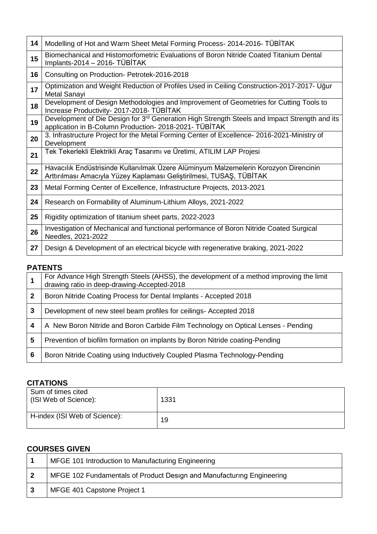| 14 | Modelling of Hot and Warm Sheet Metal Forming Process- 2014-2016- TÜBİTAK                                                                                           |
|----|---------------------------------------------------------------------------------------------------------------------------------------------------------------------|
| 15 | Biomechanical and Histomorfometric Evaluations of Boron Nitride Coated Titanium Dental<br>Implants-2014 - 2016- TÜBİTAK                                             |
| 16 | Consulting on Production- Petrotek-2016-2018                                                                                                                        |
| 17 | Optimization and Weight Reduction of Profiles Used in Ceiling Construction-2017-2017- Uğur<br>Metal Sanayi                                                          |
| 18 | Development of Design Methodologies and Improvement of Geometries for Cutting Tools to<br>Increase Productivity- 2017-2018- TÜBİTAK                                 |
| 19 | Development of Die Design for 3 <sup>rd</sup> Generation High Strength Steels and Impact Strength and its<br>application in B-Column Production- 2018-2021- TÜBİTAK |
| 20 | 3. Infrastructure Project for the Metal Forming Center of Excellence- 2016-2021-Ministry of<br>Development                                                          |
| 21 | Tek Tekerlekli Elektrikli Araç Tasarımı ve Üretimi, ATILIM LAP Projesi                                                                                              |
| 22 | Havacılık Endüstrisinde Kullanılmak Üzere Alüminyum Malzemelerin Korozyon Direncinin<br>Arttırılması Amacıyla Yüzey Kaplaması Geliştirilmesi, TUSAŞ, TÜBİTAK        |
| 23 | Metal Forming Center of Excellence, Infrastructure Projects, 2013-2021                                                                                              |
| 24 | Research on Formability of Aluminum-Lithium Alloys, 2021-2022                                                                                                       |
| 25 | Rigidity optimization of titanium sheet parts, 2022-2023                                                                                                            |
| 26 | Investigation of Mechanical and functional performance of Boron Nitride Coated Surgical<br>Needles, 2021-2022                                                       |
| 27 | Design & Development of an electrical bicycle with regenerative braking, 2021-2022                                                                                  |

### **PATENTS**

|   | For Advance High Strength Steels (AHSS), the development of a method improving the limit drawing ratio in deep-drawing-Accepted-2018 |
|---|--------------------------------------------------------------------------------------------------------------------------------------|
| 2 | Boron Nitride Coating Process for Dental Implants - Accepted 2018                                                                    |
| 3 | Development of new steel beam profiles for ceilings- Accepted 2018                                                                   |
| 4 | A New Boron Nitride and Boron Carbide Film Technology on Optical Lenses - Pending                                                    |
| 5 | Prevention of biofilm formation on implants by Boron Nitride coating-Pending                                                         |
| 6 | Boron Nitride Coating using Inductively Coupled Plasma Technology-Pending                                                            |

## **CITATIONS**

| Sum of times cited<br>(ISI Web of Science): | 1331 |
|---------------------------------------------|------|
| H-index (ISI Web of Science):               | 19   |

### **COURSES GIVEN**

| MFGE 101 Introduction to Manufacturing Engineering                    |
|-----------------------------------------------------------------------|
| MFGE 102 Fundamentals of Product Design and Manufacturing Engineering |
| MFGE 401 Capstone Project 1                                           |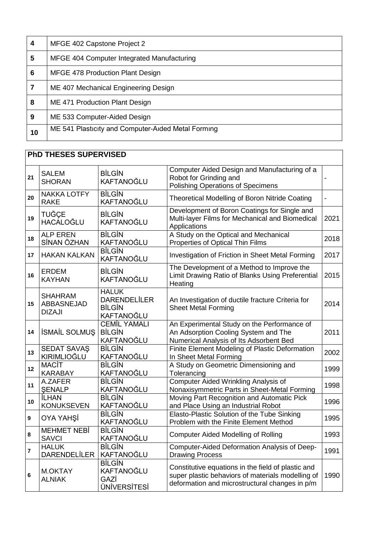| 4  | MFGE 402 Capstone Project 2                        |
|----|----------------------------------------------------|
| 5  | MFGE 404 Computer Integrated Manufacturing         |
| 6  | <b>MFGE 478 Production Plant Design</b>            |
|    | ME 407 Mechanical Engineering Design               |
| 8  | ME 471 Production Plant Design                     |
| 9  | ME 533 Computer-Aided Design                       |
| 10 | ME 541 Plasticity and Computer-Aided Metal Forming |

# **PhD THESES SUPERVISED**

| 21               | <b>SALEM</b><br><b>SHORAN</b>                 | <b>BİLGİN</b><br><b>KAFTANOĞLU</b>                                 | Computer Aided Design and Manufacturing of a<br>Robot for Grinding and<br><b>Polishing Operations of Specimens</b>                                        |      |
|------------------|-----------------------------------------------|--------------------------------------------------------------------|-----------------------------------------------------------------------------------------------------------------------------------------------------------|------|
| 20               | <b>NAKKA LOTFY</b><br><b>RAKE</b>             | <b>BİLGİN</b><br>KAFTANOĞLU                                        | Theoretical Modelling of Boron Nitride Coating                                                                                                            |      |
| 19               | <b>TUĞÇE</b><br><b>HACALOĞLU</b>              | <b>BİLGİN</b><br><b>KAFTANOĞLU</b>                                 | Development of Boron Coatings for Single and<br>Multi-layer Films for Mechanical and Biomedical<br>Applications                                           | 2021 |
| 18               | <b>ALP EREN</b><br>SİNAN ÖZHAN                | <b>BİLGİN</b><br>KAFTANOĞLU                                        | A Study on the Optical and Mechanical<br>Properties of Optical Thin Films                                                                                 | 2018 |
| 17               | <b>HAKAN KALKAN</b>                           | <b>BİLGİN</b><br>KAFTANOĞLU                                        | Investigation of Friction in Sheet Metal Forming                                                                                                          | 2017 |
| 16               | <b>ERDEM</b><br><b>KAYHAN</b>                 | <b>BİLGİN</b><br><b>KAFTANOĞLU</b>                                 | The Development of a Method to Improve the<br>Limit Drawing Ratio of Blanks Using Preferential<br>Heating                                                 | 2015 |
| 15               | <b>SHAHRAM</b><br>ABBASNEJAD<br><b>DIZAJI</b> | <b>HALUK</b><br><b>DARENDELİLER</b><br><b>BİLGİN</b><br>KAFTANOĞLU | An Investigation of ductile fracture Criteria for<br><b>Sheet Metal Forming</b>                                                                           | 2014 |
| 14               | <b>İSMAİL SOLMUŞ</b>                          | <b>CEMİL YAMALI</b><br><b>BİLGİN</b><br>KAFTANOĞLU                 | An Experimental Study on the Performance of<br>An Adsorption Cooling System and The<br>Numerical Analysis of Its Adsorbent Bed                            | 2011 |
| 13               | <b>SEDAT SAVAŞ</b><br>KIRIMLIOĞLU             | <b>BİLGİN</b><br>KAFTANOĞLU                                        | Finite Element Modeling of Plastic Deformation<br>In Sheet Metal Forming                                                                                  | 2002 |
| 12               | <b>MACIT</b><br><b>KARABAY</b>                | <b>BİLGİN</b><br>KAFTANOĞLU                                        | A Study on Geometric Dimensioning and<br>Tolerancing                                                                                                      | 1999 |
| 11               | A.ZAFER<br><b>ŞENALP</b>                      | <b>BİLGİN</b><br>KAFTANOĞLU                                        | <b>Computer Aided Wrinkling Analysis of</b><br>Nonaxisymmetric Parts in Sheet-Metal Forming                                                               | 1998 |
| 10               | <b>İLHAN</b><br><b>KONUKSEVEN</b>             | <b>BİLGİN</b><br>KAFTANOĞLU                                        | Moving Part Recognition and Automatic Pick<br>and Place Using an Industrial Robot                                                                         | 1996 |
| $\boldsymbol{9}$ | <b>OYA YAHŞİ</b>                              | <b>BİLGİN</b><br>KAFTANOĞLU                                        | Elasto-Plastic Solution of the Tube Sinking<br>Problem with the Finite Element Method                                                                     | 1995 |
| 8                | <b>MEHMET NEBİ</b><br><b>SAVCI</b>            | <b>BİLGİN</b><br>KAFTANOĞLU                                        | <b>Computer Aided Modelling of Rolling</b>                                                                                                                | 1993 |
| $\overline{7}$   | <b>HALUK</b><br><b>DARENDELİLER</b>           | <b>BİLGİN</b><br>KAFTANOĞLU                                        | Computer-Aided Deformation Analysis of Deep-<br><b>Drawing Process</b>                                                                                    | 1991 |
| $6\phantom{a}$   | <b>M.OKTAY</b><br><b>ALNIAK</b>               | <b>BİLGİN</b><br>KAFTANOĞLU<br>GAZİ<br><b>ÜNİVERSİTESİ</b>         | Constitutive equations in the field of plastic and<br>super plastic behaviors of materials modelling of<br>deformation and microstructural changes in p/m | 1990 |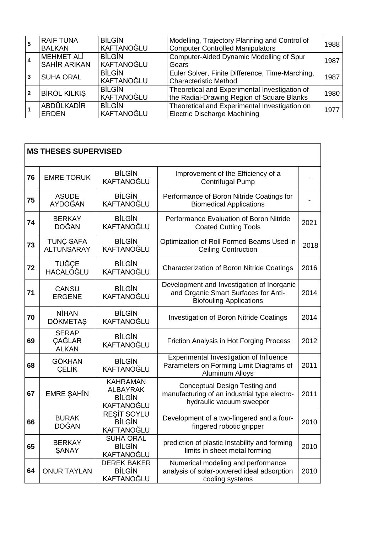|   | <b>RAIF TUNA</b><br><b>BALKAN</b>        | <b>BİLGİN</b><br>KAFTANOĞLU        | Modelling, Trajectory Planning and Control of<br><b>Computer Controlled Manipulators</b>    | 1988 |
|---|------------------------------------------|------------------------------------|---------------------------------------------------------------------------------------------|------|
|   | <b>MEHMET ALI</b><br><b>SAHİR ARIKAN</b> | <b>BİLGİN</b><br>KAFTANOĞLU        | Computer-Aided Dynamic Modelling of Spur<br>Gears                                           | 1987 |
| 3 | <b>SUHA ORAL</b>                         | <b>BİLGİN</b><br><b>KAFTANOĞLU</b> | Euler Solver, Finite Difference, Time-Marching,<br><b>Characteristic Method</b>             | 1987 |
|   | <b>BİROL KILKIŞ</b>                      | <b>BİLGİN</b><br>KAFTANOĞLU        | Theoretical and Experimental Investigation of<br>the Radial-Drawing Region of Square Blanks | 1980 |
|   | ABDÜLKADİR<br><b>ERDEN</b>               | <b>BİLGİN</b><br>KAFTANOĞLU        | Theoretical and Experimental Investigation on<br><b>Electric Discharge Machining</b>        | 1977 |

|    | <b>MS THESES SUPERVISED</b>            |                                                                   |                                                                                                                      |      |
|----|----------------------------------------|-------------------------------------------------------------------|----------------------------------------------------------------------------------------------------------------------|------|
| 76 | <b>EMRE TORUK</b>                      | <b>BİLGİN</b><br>KAFTANOĞLU                                       | Improvement of the Efficiency of a<br>Centrifugal Pump                                                               |      |
| 75 | <b>ASUDE</b><br><b>AYDOĞAN</b>         | <b>BİLGİN</b><br>KAFTANOĞLU                                       | Performance of Boron Nitride Coatings for<br><b>Biomedical Applications</b>                                          |      |
| 74 | <b>BERKAY</b><br><b>DOĞAN</b>          | <b>BİLGİN</b><br>KAFTANOĞLU                                       | Performance Evaluation of Boron Nitride<br><b>Coated Cutting Tools</b>                                               | 2021 |
| 73 | <b>TUNÇ SAFA</b><br><b>ALTUNSARAY</b>  | <b>BİLGİN</b><br>KAFTANOĞLU                                       | Optimization of Roll Formed Beams Used in<br><b>Ceiling Contruction</b>                                              | 2018 |
| 72 | <b>TUĞÇE</b><br>HACALOĞLU              | <b>BİLGİN</b><br>KAFTANOĞLU                                       | <b>Characterization of Boron Nitride Coatings</b>                                                                    | 2016 |
| 71 | <b>CANSU</b><br><b>ERGENE</b>          | <b>BİLGİN</b><br>KAFTANOĞLU                                       | Development and Investigation of Inorganic<br>and Organic Smart Surfaces for Anti-<br><b>Biofouling Applications</b> | 2014 |
| 70 | <b>NİHAN</b><br><b>DÖKMETAŞ</b>        | <b>BİLGİN</b><br>KAFTANOĞLU                                       | <b>Investigation of Boron Nitride Coatings</b>                                                                       | 2014 |
| 69 | <b>SERAP</b><br>ÇAĞLAR<br><b>ALKAN</b> | <b>BİLGİN</b><br>KAFTANOĞLU                                       | Friction Analysis in Hot Forging Process                                                                             | 2012 |
| 68 | <b>GÖKHAN</b><br><b>CELIK</b>          | <b>BİLGİN</b><br>KAFTANOĞLU                                       | Experimental Investigation of Influence<br>Parameters on Forming Limit Diagrams of<br><b>Aluminum Alloys</b>         | 2011 |
| 67 | <b>EMRE ŞAHİN</b>                      | <b>KAHRAMAN</b><br><b>ALBAYRAK</b><br><b>BİLGİN</b><br>KAFTANOĞLU | Conceptual Design Testing and<br>manufacturing of an industrial type electro-<br>hydraulic vacuum sweeper            | 2011 |
| 66 | <b>BURAK</b><br>DOĞAN                  | REŞİT SOYLU<br><b>BİLGİN</b><br>KAFTANOĞLU                        | Development of a two-fingered and a four-<br>fingered robotic gripper                                                | 2010 |
| 65 | <b>BERKAY</b><br><b>SANAY</b>          | <b>SUHA ORAL</b><br><b>BİLGİN</b><br>KAFTANOĞLU                   | prediction of plastic Instability and forming<br>limits in sheet metal forming                                       | 2010 |
| 64 | <b>ONUR TAYLAN</b>                     | <b>DEREK BAKER</b><br><b>BİLGİN</b><br>KAFTANOĞLU                 | Numerical modeling and performance<br>analysis of solar-powered ideal adsorption<br>cooling systems                  | 2010 |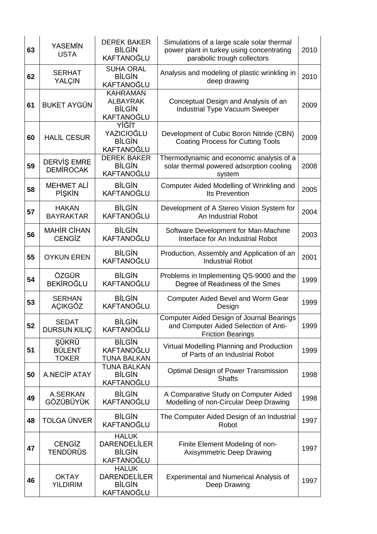| 63 | <b>YASEMİN</b><br><b>USTA</b>          | <b>DEREK BAKER</b><br><b>BİLGİN</b><br>KAFTANOĞLU                  | Simulations of a large scale solar thermal<br>power plant in turkey using concentrating<br>parabolic trough collectors | 2010 |
|----|----------------------------------------|--------------------------------------------------------------------|------------------------------------------------------------------------------------------------------------------------|------|
| 62 | <b>SERHAT</b><br>YALÇIN                | <b>SUHA ORAL</b><br><b>BİLGİN</b><br>KAFTANOĞLU                    | Analysis and modeling of plastic wrinkling in<br>deep drawing                                                          | 2010 |
| 61 | <b>BUKET AYGÜN</b>                     | <b>KAHRAMAN</b><br><b>ALBAYRAK</b><br><b>BİLGİN</b><br>KAFTANOĞLU  | Conceptual Design and Analysis of an<br><b>Industrial Type Vacuum Sweeper</b>                                          | 2009 |
| 60 | <b>HALİL CESUR</b>                     | YİĞİT<br>YAZICIOĞLU<br><b>BİLGİN</b><br>KAFTANOĞLU                 | Development of Cubic Boron Nitride (CBN)<br><b>Coating Process for Cutting Tools</b>                                   | 2009 |
| 59 | <b>DERVIŞ EMRE</b><br><b>DEMIROCAK</b> | <b>DEREK BAKER</b><br><b>BİLGİN</b><br>KAFTANOĞLU                  | Thermodynamic and economic analysis of a<br>solar thermal powered adsorption cooling<br>system                         | 2008 |
| 58 | <b>MEHMET ALİ</b><br><b>PİŞKİN</b>     | <b>BİLGİN</b><br>KAFTANOĞLU                                        | Computer Aided Modelling of Wrinkling and<br>Its Prevention                                                            | 2005 |
| 57 | <b>HAKAN</b><br><b>BAYRAKTAR</b>       | <b>BİLGİN</b><br>KAFTANOĞLU                                        | Development of A Stereo Vision System for<br>An Industrial Robot                                                       | 2004 |
| 56 | <b>MAHİR CİHAN</b><br><b>CENGIZ</b>    | <b>BİLGİN</b><br>KAFTANOĞLU                                        | Software Development for Man-Machine<br>Interface for An Industrial Robot                                              | 2003 |
| 55 | <b>OYKUN EREN</b>                      | <b>BİLGİN</b><br>KAFTANOĞLU                                        | Production, Assembly and Application of an<br><b>Industrial Robot</b>                                                  | 2001 |
| 54 | ÖZGÜR<br><b>BEKİROĞLU</b>              | <b>BİLGİN</b><br><b>KAFTANOĞLU</b>                                 | Problems in Implementing QS-9000 and the<br>Degree of Readiness of the Smes                                            | 1999 |
| 53 | <b>SERHAN</b><br>AÇIKGÖZ               | <b>BİLGİN</b><br>KAFTANOĞLU                                        | <b>Computer Aided Bevel and Worm Gear</b><br>Design                                                                    | 1999 |
| 52 | <b>SEDAT</b><br><b>DURSUN KILIÇ</b>    | <b>BİLGİN</b><br>KAFTANOĞLU                                        | Computer Aided Design of Journal Bearings<br>and Computer Aided Selection of Anti-<br><b>Friction Bearings</b>         | 1999 |
| 51 | ŞÜKRÜ<br><b>BÜLENT</b><br><b>TOKER</b> | <b>BİLGİN</b><br>KAFTANOĞLU<br><b>TUNA BALKAN</b>                  | Virtual Modelling Planning and Production<br>of Parts of an Industrial Robot                                           | 1999 |
| 50 | <b>A.NECİP ATAY</b>                    | <b>TUNA BALKAN</b><br><b>BİLGİN</b><br>KAFTANOĞLU                  | Optimal Design of Power Transmission<br><b>Shafts</b>                                                                  | 1998 |
| 49 | A.SERKAN<br>GÖZÜBÜYÜK                  | <b>BİLGİN</b><br>KAFTANOĞLU                                        | A Comparative Study on Computer Aided<br>Modelling of non-Circular Deep Drawing                                        | 1998 |
| 48 | <b>TOLGA ÜNVER</b>                     | <b>BİLGİN</b><br>KAFTANOĞLU                                        | The Computer Aided Design of an Industrial<br>Robot                                                                    | 1997 |
| 47 | <b>CENGIZ</b><br><b>TENDÜRÜS</b>       | <b>HALUK</b><br><b>DARENDELİLER</b><br><b>BİLGİN</b><br>KAFTANOĞLU | Finite Element Modeling of non-<br><b>Axisymmetric Deep Drawing</b>                                                    | 1997 |
| 46 | <b>OKTAY</b><br><b>YILDIRIM</b>        | <b>HALUK</b><br><b>DARENDELİLER</b><br><b>BİLGİN</b><br>KAFTANOĞLU | Experimental and Numerical Analysis of<br>Deep Drawing                                                                 | 1997 |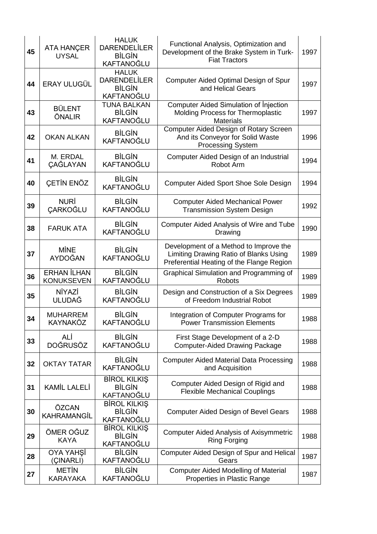| 45 | <b>ATA HANÇER</b><br><b>UYSAL</b>       | <b>HALUK</b><br><b>DARENDELİLER</b><br><b>BİLGİN</b><br>KAFTANOĞLU | Functional Analysis, Optimization and<br>Development of the Brake System in Turk-<br><b>Fiat Tractors</b>                     | 1997 |
|----|-----------------------------------------|--------------------------------------------------------------------|-------------------------------------------------------------------------------------------------------------------------------|------|
| 44 | <b>ERAY ULUGÜL</b>                      | <b>HALUK</b><br><b>DARENDELİLER</b><br><b>BİLGİN</b><br>KAFTANOĞLU | Computer Aided Optimal Design of Spur<br>and Helical Gears                                                                    | 1997 |
| 43 | <b>BÜLENT</b><br>ÖNALIR                 | <b>TUNA BALKAN</b><br><b>BİLGİN</b><br>KAFTANOĞLU                  | <b>Computer Aided Simulation of Injection</b><br>Molding Process for Thermoplastic<br><b>Materials</b>                        | 1997 |
| 42 | <b>OKAN ALKAN</b>                       | <b>BİLGİN</b><br>KAFTANOĞLU                                        | <b>Computer Aided Design of Rotary Screen</b><br>And its Conveyor for Solid Waste<br><b>Processing System</b>                 | 1996 |
| 41 | M. ERDAL<br><b>CAĞLAYAN</b>             | <b>BİLGİN</b><br>KAFTANOĞLU                                        | Computer Aided Design of an Industrial<br>Robot Arm                                                                           | 1994 |
| 40 | ÇETİN ENÖZ                              | <b>BİLGİN</b><br>KAFTANOĞLU                                        | <b>Computer Aided Sport Shoe Sole Design</b>                                                                                  | 1994 |
| 39 | <b>NURİ</b><br><b>ÇARKOĞLU</b>          | <b>BİLGİN</b><br>KAFTANOĞLU                                        | <b>Computer Aided Mechanical Power</b><br><b>Transmission System Design</b>                                                   | 1992 |
| 38 | <b>FARUK ATA</b>                        | <b>BİLGİN</b><br>KAFTANOĞLU                                        | Computer Aided Analysis of Wire and Tube<br>Drawing                                                                           | 1990 |
| 37 | <b>MINE</b><br>AYDOĞAN                  | <b>BİLGİN</b><br>KAFTANOĞLU                                        | Development of a Method to Improve the<br>Limiting Drawing Ratio of Blanks Using<br>Preferential Heating of the Flange Region | 1989 |
| 36 | <b>ERHAN İLHAN</b><br><b>KONUKSEVEN</b> | <b>BİLGİN</b><br>KAFTANOĞLU                                        | Graphical Simulation and Programming of<br><b>Robots</b>                                                                      | 1989 |
| 35 | <b>NİYAZİ</b><br><b>ULUDAĞ</b>          | <b>BİLGİN</b><br>KAFTANOĞLU                                        | Design and Construction of a Six Degrees<br>of Freedom Industrial Robot                                                       | 1989 |
| 34 | <b>MUHARREM</b><br>KAYNAKÖZ             | <b>BİLGİN</b><br>KAFTANOĞLU                                        | Integration of Computer Programs for<br><b>Power Transmission Elements</b>                                                    | 1988 |
| 33 | ALİ<br><b>DOĞRUSÖZ</b>                  | <b>BİLGİN</b><br>KAFTANOĞLU                                        | First Stage Development of a 2-D<br><b>Computer-Aided Drawing Package</b>                                                     | 1988 |
| 32 | <b>OKTAY TATAR</b>                      | <b>BİLGİN</b><br>KAFTANOĞLU                                        | <b>Computer Aided Material Data Processing</b><br>and Acquisition                                                             | 1988 |
| 31 | <b>KAMİL LALELİ</b>                     | <b>BIROL KILKIŞ</b><br><b>BİLGİN</b><br>KAFTANOĞLU                 | Computer Aided Design of Rigid and<br><b>Flexible Mechanical Couplings</b>                                                    | 1988 |
| 30 | ÖZCAN<br><b>KAHRAMANGİL</b>             | <b>BIROL KILKIŞ</b><br><b>BİLGİN</b><br>KAFTANOĞLU                 | <b>Computer Aided Design of Bevel Gears</b>                                                                                   | 1988 |
| 29 | ÖMER OĞUZ<br><b>KAYA</b>                | <b>BIROL KILKIŞ</b><br><b>BİLGİN</b><br>KAFTANOĞLU                 | <b>Computer Aided Analysis of Axisymmetric</b><br><b>Ring Forging</b>                                                         | 1988 |
| 28 | <b>OYA YAHŞİ</b><br>(ÇINARLI)           | <b>BİLGİN</b><br>KAFTANOĞLU                                        | Computer Aided Design of Spur and Helical<br>Gears                                                                            | 1987 |
| 27 | <b>METIN</b><br><b>KARAYAKA</b>         | <b>BİLGİN</b><br>KAFTANOĞLU                                        | <b>Computer Aided Modelling of Material</b><br>Properties in Plastic Range                                                    | 1987 |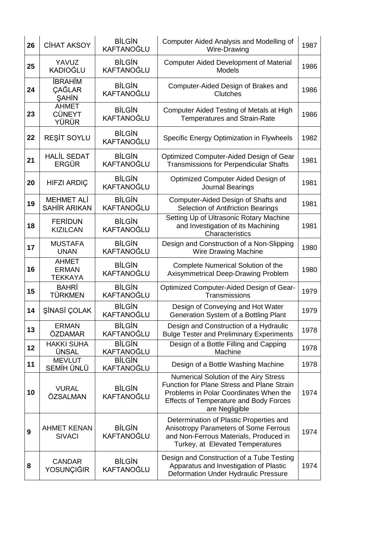| 26 | <b>CİHAT AKSOY</b>                             | <b>BİLGİN</b><br>KAFTANOĞLU        | <b>Computer Aided Analysis and Modelling of</b><br>Wire-Drawing                                                                                                                                         | 1987 |
|----|------------------------------------------------|------------------------------------|---------------------------------------------------------------------------------------------------------------------------------------------------------------------------------------------------------|------|
| 25 | YAVUZ<br><b>KADIOĞLU</b>                       | <b>BİLGİN</b><br>KAFTANOĞLU        | <b>Computer Aided Development of Material</b><br><b>Models</b>                                                                                                                                          | 1986 |
| 24 | <b>İBRAHİM</b><br>CAĞLAR<br>SAHİN              | <b>BİLGİN</b><br>KAFTANOĞLU        | Computer-Aided Design of Brakes and<br>Clutches                                                                                                                                                         | 1986 |
| 23 | <b>AHMET</b><br><b>CÜNEYT</b><br>YÜRÜR         | <b>BİLGİN</b><br><b>KAFTANOĞLU</b> | Computer Aided Testing of Metals at High<br><b>Temperatures and Strain-Rate</b>                                                                                                                         | 1986 |
| 22 | REŞİT SOYLU                                    | <b>BİLGİN</b><br>KAFTANOĞLU        | Specific Energy Optimization in Flywheels                                                                                                                                                               | 1982 |
| 21 | <b>HALİL SEDAT</b><br><b>ERGÜR</b>             | <b>BİLGİN</b><br>KAFTANOĞLU        | Optimized Computer-Aided Design of Gear<br><b>Transmissions for Perpendicular Shafts</b>                                                                                                                | 1981 |
| 20 | <b>HIFZI ARDIÇ</b>                             | <b>BİLGİN</b><br><b>KAFTANOĞLU</b> | Optimized Computer Aided Design of<br><b>Journal Bearings</b>                                                                                                                                           | 1981 |
| 19 | <b>MEHMET ALİ</b><br><b>SAHİR ARIKAN</b>       | <b>BİLGİN</b><br><b>KAFTANOĞLU</b> | Computer-Aided Design of Shafts and<br>Selection of Antifriction Bearings                                                                                                                               | 1981 |
| 18 | <b>FERIDUN</b><br><b>KIZILCAN</b>              | <b>BİLGİN</b><br>KAFTANOĞLU        | Setting Up of Ultrasonic Rotary Machine<br>and Investigation of its Machining<br>Characteristics                                                                                                        | 1981 |
| 17 | <b>MUSTAFA</b><br><b>UNAN</b>                  | <b>BİLGİN</b><br>KAFTANOĞLU        | Design and Construction of a Non-Slipping<br><b>Wire Drawing Machine</b>                                                                                                                                | 1980 |
| 16 | <b>AHMET</b><br><b>ERMAN</b><br><b>TEKKAYA</b> | <b>BİLGİN</b><br>KAFTANOĞLU        | Complete Numerical Solution of the<br>Axisymmetrical Deep-Drawing Problem                                                                                                                               | 1980 |
| 15 | <b>BAHRİ</b><br>TÜRKMEN                        | <b>BİLGİN</b><br>KAFTANOĞLU        | Optimized Computer-Aided Design of Gear-<br>Transmissions                                                                                                                                               | 1979 |
| 14 | ŞİNASİ ÇOLAK                                   | <b>BİLGİN</b><br>KAFTANOĞLU        | Design of Conveying and Hot Water<br>Generation System of a Bottling Plant                                                                                                                              | 1979 |
| 13 | <b>ERMAN</b><br>ÖZDAMAR                        | <b>BİLGİN</b><br><b>KAFTANOĞLU</b> | Design and Construction of a Hydraulic<br><b>Bulge Tester and Preliminary Experiments</b>                                                                                                               | 1978 |
| 12 | <b>HAKKI SUHA</b>                              | <b>BİLGİN</b>                      | Design of a Bottle Filling and Capping                                                                                                                                                                  |      |
| 11 | <b>ÜNSAL</b>                                   | KAFTANOĞLU                         | Machine                                                                                                                                                                                                 | 1978 |
|    | <b>MEVLUT</b><br>SEMİH ÜNLÜ                    | <b>BİLGİN</b><br>KAFTANOĞLU        | Design of a Bottle Washing Machine                                                                                                                                                                      | 1978 |
| 10 | <b>VURAL</b><br>ÖZSALMAN                       | <b>BİLGİN</b><br>KAFTANOĞLU        | Numerical Solution of the Airy Stress<br><b>Function for Plane Stress and Plane Strain</b><br>Problems in Polar Coordinates When the<br><b>Effects of Temperature and Body Forces</b><br>are Negligible | 1974 |
| 9  | <b>AHMET KENAN</b><br><b>SIVACI</b>            | <b>BİLGİN</b><br>KAFTANOĞLU        | Determination of Plastic Properties and<br>Anisotropy Parameters of Some Ferrous<br>and Non-Ferrous Materials, Produced in<br>Turkey, at Elevated Temperatures                                          | 1974 |